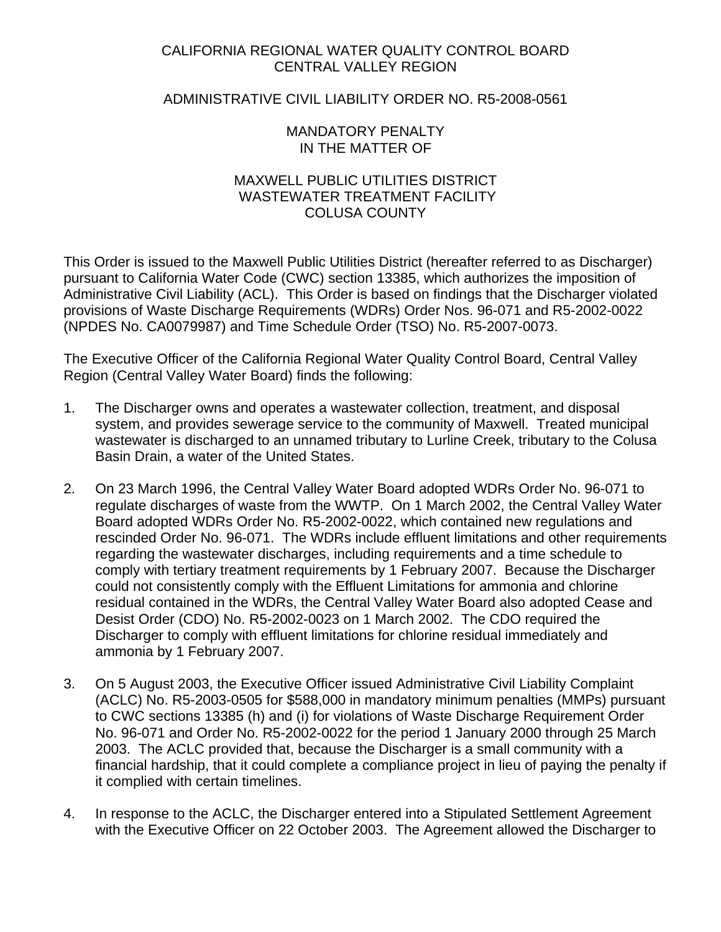# CALIFORNIA REGIONAL WATER QUALITY CONTROL BOARD CENTRAL VALLEY REGION

# ADMINISTRATIVE CIVIL LIABILITY ORDER NO. R5-2008-0561

## MANDATORY PENALTY IN THE MATTER OF

# MAXWELL PUBLIC UTILITIES DISTRICT WASTEWATER TREATMENT FACILITY COLUSA COUNTY

This Order is issued to the Maxwell Public Utilities District (hereafter referred to as Discharger) pursuant to California Water Code (CWC) section 13385, which authorizes the imposition of Administrative Civil Liability (ACL). This Order is based on findings that the Discharger violated provisions of Waste Discharge Requirements (WDRs) Order Nos. 96-071 and R5-2002-0022 (NPDES No. CA0079987) and Time Schedule Order (TSO) No. R5-2007-0073.

The Executive Officer of the California Regional Water Quality Control Board, Central Valley Region (Central Valley Water Board) finds the following:

- 1. The Discharger owns and operates a wastewater collection, treatment, and disposal system, and provides sewerage service to the community of Maxwell. Treated municipal wastewater is discharged to an unnamed tributary to Lurline Creek, tributary to the Colusa Basin Drain, a water of the United States.
- 2. On 23 March 1996, the Central Valley Water Board adopted WDRs Order No. 96-071 to regulate discharges of waste from the WWTP. On 1 March 2002, the Central Valley Water Board adopted WDRs Order No. R5-2002-0022, which contained new regulations and rescinded Order No. 96-071. The WDRs include effluent limitations and other requirements regarding the wastewater discharges, including requirements and a time schedule to comply with tertiary treatment requirements by 1 February 2007. Because the Discharger could not consistently comply with the Effluent Limitations for ammonia and chlorine residual contained in the WDRs, the Central Valley Water Board also adopted Cease and Desist Order (CDO) No. R5-2002-0023 on 1 March 2002. The CDO required the Discharger to comply with effluent limitations for chlorine residual immediately and ammonia by 1 February 2007.
- 3. On 5 August 2003, the Executive Officer issued Administrative Civil Liability Complaint (ACLC) No. R5-2003-0505 for \$588,000 in mandatory minimum penalties (MMPs) pursuant to CWC sections 13385 (h) and (i) for violations of Waste Discharge Requirement Order No. 96-071 and Order No. R5-2002-0022 for the period 1 January 2000 through 25 March 2003. The ACLC provided that, because the Discharger is a small community with a financial hardship, that it could complete a compliance project in lieu of paying the penalty if it complied with certain timelines.
- 4. In response to the ACLC, the Discharger entered into a Stipulated Settlement Agreement with the Executive Officer on 22 October 2003. The Agreement allowed the Discharger to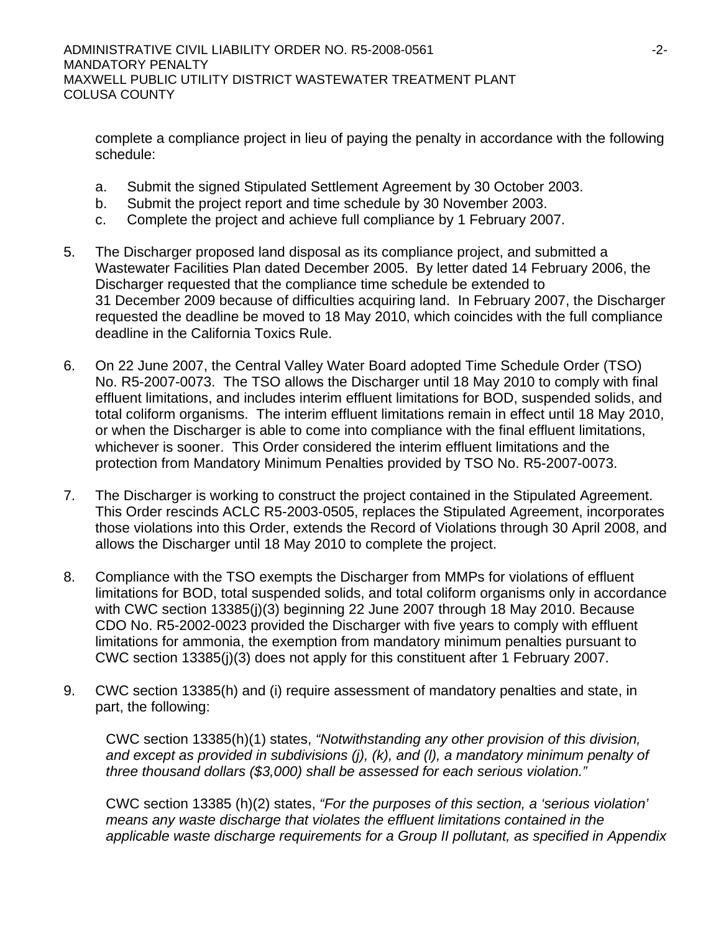complete a compliance project in lieu of paying the penalty in accordance with the following schedule:

- a. Submit the signed Stipulated Settlement Agreement by 30 October 2003.
- b. Submit the project report and time schedule by 30 November 2003.
- c. Complete the project and achieve full compliance by 1 February 2007.
- 5. The Discharger proposed land disposal as its compliance project, and submitted a Wastewater Facilities Plan dated December 2005. By letter dated 14 February 2006, the Discharger requested that the compliance time schedule be extended to 31 December 2009 because of difficulties acquiring land. In February 2007, the Discharger requested the deadline be moved to 18 May 2010, which coincides with the full compliance deadline in the California Toxics Rule.
- 6. On 22 June 2007, the Central Valley Water Board adopted Time Schedule Order (TSO) No. R5-2007-0073. The TSO allows the Discharger until 18 May 2010 to comply with final effluent limitations, and includes interim effluent limitations for BOD, suspended solids, and total coliform organisms. The interim effluent limitations remain in effect until 18 May 2010, or when the Discharger is able to come into compliance with the final effluent limitations, whichever is sooner. This Order considered the interim effluent limitations and the protection from Mandatory Minimum Penalties provided by TSO No. R5-2007-0073.
- 7. The Discharger is working to construct the project contained in the Stipulated Agreement. This Order rescinds ACLC R5-2003-0505, replaces the Stipulated Agreement, incorporates those violations into this Order, extends the Record of Violations through 30 April 2008, and allows the Discharger until 18 May 2010 to complete the project.
- 8. Compliance with the TSO exempts the Discharger from MMPs for violations of effluent limitations for BOD, total suspended solids, and total coliform organisms only in accordance with CWC section 13385(j)(3) beginning 22 June 2007 through 18 May 2010. Because CDO No. R5-2002-0023 provided the Discharger with five years to comply with effluent limitations for ammonia, the exemption from mandatory minimum penalties pursuant to CWC section 13385(j)(3) does not apply for this constituent after 1 February 2007.
- 9. CWC section 13385(h) and (i) require assessment of mandatory penalties and state, in part, the following:

CWC section 13385(h)(1) states, *"Notwithstanding any other provision of this division, and except as provided in subdivisions (j), (k), and (l), a mandatory minimum penalty of three thousand dollars (\$3,000) shall be assessed for each serious violation."* 

CWC section 13385 (h)(2) states, *"For the purposes of this section, a 'serious violation' means any waste discharge that violates the effluent limitations contained in the applicable waste discharge requirements for a Group II pollutant, as specified in Appendix*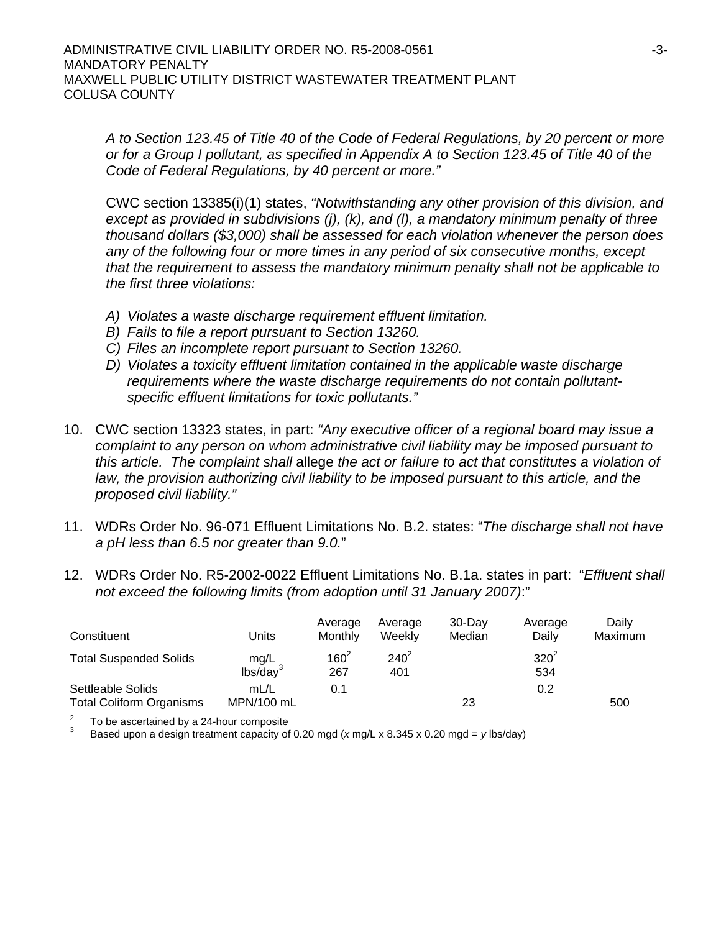*A to Section 123.45 of Title 40 of the Code of Federal Regulations, by 20 percent or more or for a Group I pollutant, as specified in Appendix A to Section 123.45 of Title 40 of the Code of Federal Regulations, by 40 percent or more."* 

CWC section 13385(i)(1) states, *"Notwithstanding any other provision of this division, and except as provided in subdivisions (j), (k), and (l), a mandatory minimum penalty of three thousand dollars (\$3,000) shall be assessed for each violation whenever the person does any of the following four or more times in any period of six consecutive months, except that the requirement to assess the mandatory minimum penalty shall not be applicable to the first three violations:*

- *A) Violates a waste discharge requirement effluent limitation.*
- *B) Fails to file a report pursuant to Section 13260.*
- *C) Files an incomplete report pursuant to Section 13260.*
- *D) Violates a toxicity effluent limitation contained in the applicable waste discharge requirements where the waste discharge requirements do not contain pollutantspecific effluent limitations for toxic pollutants."*
- 10. CWC section 13323 states, in part: *"Any executive officer of a regional board may issue a complaint to any person on whom administrative civil liability may be imposed pursuant to this article. The complaint shall* allege *the act or failure to act that constitutes a violation of*  law, the provision authorizing civil liability to be imposed pursuant to this article, and the *proposed civil liability."*
- 11. WDRs Order No. 96-071 Effluent Limitations No. B.2. states: "*The discharge shall not have a pH less than 6.5 nor greater than 9.0.*"
- 12. WDRs Order No. R5-2002-0022 Effluent Limitations No. B.1a. states in part: "*Effluent shall not exceed the following limits (from adoption until 31 January 2007)*:"

| Constituent                                          | <u>Units</u>                 | Average<br><b>Monthly</b> | Average<br>Weekly | $30 - Day$<br>Median | Average<br>Daily | Daily<br>Maximum |
|------------------------------------------------------|------------------------------|---------------------------|-------------------|----------------------|------------------|------------------|
| <b>Total Suspended Solids</b>                        | mg/L<br>lbs/day <sup>3</sup> | $160^{2}$<br>267          | $240^2$<br>401    |                      | $320^2$<br>534   |                  |
| Settleable Solids<br><b>Total Coliform Organisms</b> | mL/L<br>MPN/100 mL           | 0.1                       |                   | 23                   | 0.2              | 500              |

 $\frac{2}{3}$  To be ascertained by a 24-hour composite<br> $\frac{3}{3}$  Beacd upon a decise tractment conseitues

Based upon a design treatment capacity of 0.20 mgd (*x* mg/L x 8.345 x 0.20 mgd = *y* lbs/day)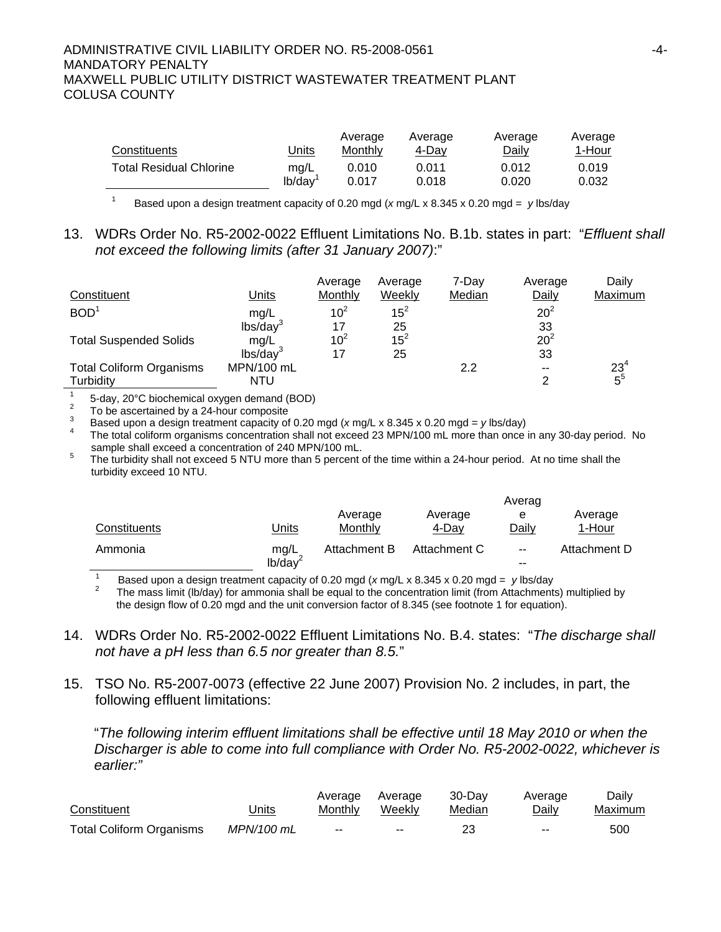| Constituents                   | Units  | Average<br>Monthly | Average<br>4-Day | Average<br>Daily | Average<br>1-Hour |
|--------------------------------|--------|--------------------|------------------|------------------|-------------------|
| <b>Total Residual Chlorine</b> | mg/L   | 0.010              | 0.011            | 0.012            | 0.019             |
|                                | lb/day | 0.017              | 0.018            | 0.020            | 0.032             |

1 Based upon a design treatment capacity of 0.20 mgd (*x* mg/L x 8.345 x 0.20 mgd = *y* lbs/day

## 13. WDRs Order No. R5-2002-0022 Effluent Limitations No. B.1b. states in part: "*Effluent shall not exceed the following limits (after 31 January 2007)*:"

| Constituent                     | Units                | Average<br>Monthly | Average<br>Weekly | 7-Dav<br>Median | Average<br>Daily | Daily<br>Maximum |
|---------------------------------|----------------------|--------------------|-------------------|-----------------|------------------|------------------|
| BOD <sup>1</sup>                | mg/L                 | 10 <sup>2</sup>    | $15^2$            |                 | $20^2$           |                  |
|                                 | lbs/day <sup>3</sup> |                    | 25                |                 | 33               |                  |
| <b>Total Suspended Solids</b>   | mg/L                 | $10^2$             | $15^{2}$          |                 | $20^2$           |                  |
|                                 | lbs/day              |                    | 25                |                 | 33               |                  |
| <b>Total Coliform Organisms</b> | MPN/100 mL           |                    |                   | 2.2             | $-$              | $23^{4}$         |
| Turbidity                       | NTU                  |                    |                   |                 | ⌒                | $5^5$            |

1 5-day, 20°C biochemical oxygen demand (BOD)

To be ascertained by a 24-hour composite<br>3 Based upon a design treatment capacity of 0.20 mgd (x mg/L x 8.345 x 0.20 mgd = y lbs/day)<br>4 The total coliform organisms concentration shall not exceed 23 MPN/100 mL more than o sample shall exceed a concentration of 240 MPN/100 mL.<br>
<sup>5</sup> The turbidity shall not exceed 5 NTLL more than 5 percent to

 The turbidity shall not exceed 5 NTU more than 5 percent of the time within a 24-hour period. At no time shall the turbidity exceed 10 NTU.

|              |                             |                    | Averag           |                     |                   |  |
|--------------|-----------------------------|--------------------|------------------|---------------------|-------------------|--|
| Constituents | Units                       | Average<br>Monthly | Average<br>4-Dav | е<br>Daily          | Average<br>1-Hour |  |
| Ammonia      | mg/L<br>lb/day <sup>2</sup> | Attachment B       | Attachment C     | $\sim$ $\sim$<br>-- | Attachment D      |  |

1 Based upon a design treatment capacity of 0.20 mgd (*x* mg/L x 8.345 x 0.20 mgd = *y* lbs/day 2

 The mass limit (lb/day) for ammonia shall be equal to the concentration limit (from Attachments) multiplied by the design flow of 0.20 mgd and the unit conversion factor of 8.345 (see footnote 1 for equation).

- 14. WDRs Order No. R5-2002-0022 Effluent Limitations No. B.4. states: "*The discharge shall not have a pH less than 6.5 nor greater than 8.5.*"
- 15. TSO No. R5-2007-0073 (effective 22 June 2007) Provision No. 2 includes, in part, the following effluent limitations:

"*The following interim effluent limitations shall be effective until 18 May 2010 or when the Discharger is able to come into full compliance with Order No. R5-2002-0022, whichever is earlier:"* 

| Constituent                     | Jnits      | Average<br>Monthly       | Average<br>Weekly | 30-Dav<br>Median | Average<br><b>Daily</b>  | Daily<br>Maximum |
|---------------------------------|------------|--------------------------|-------------------|------------------|--------------------------|------------------|
|                                 |            |                          |                   |                  |                          |                  |
| <b>Total Coliform Organisms</b> | MPN/100 mL | $\overline{\phantom{m}}$ | $\sim$ $\sim$     |                  | $\overline{\phantom{m}}$ | 500              |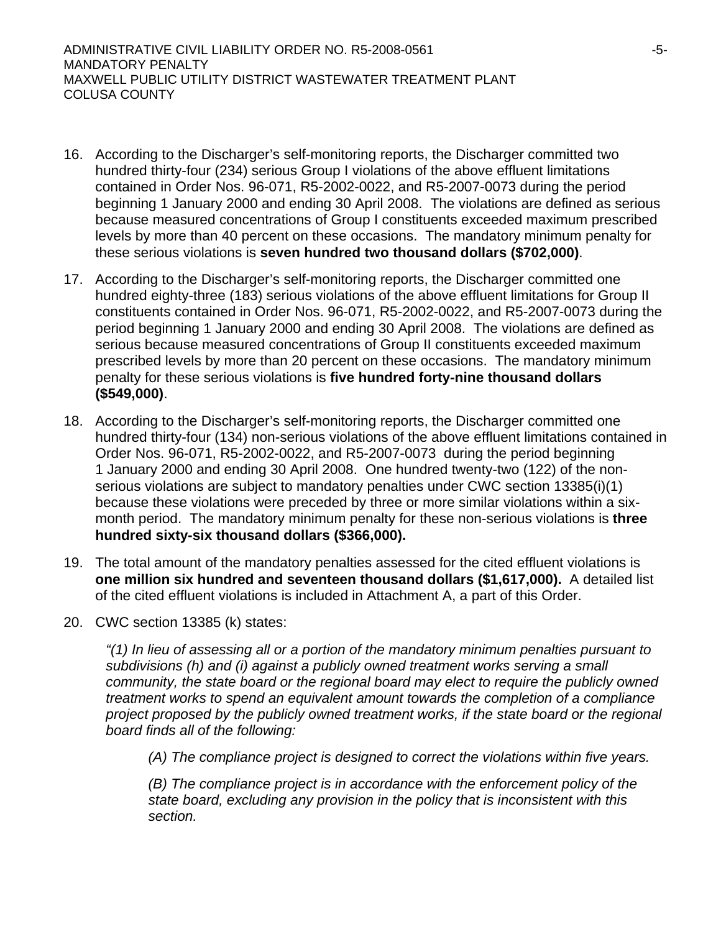ADMINISTRATIVE CIVIL LIABILITY ORDER NO. R5-2008-0561 -5- MANDATORY PENALTY MAXWELL PUBLIC UTILITY DISTRICT WASTEWATER TREATMENT PLANT COLUSA COUNTY

- 16. According to the Discharger's self-monitoring reports, the Discharger committed two hundred thirty-four (234) serious Group I violations of the above effluent limitations contained in Order Nos. 96-071, R5-2002-0022, and R5-2007-0073 during the period beginning 1 January 2000 and ending 30 April 2008. The violations are defined as serious because measured concentrations of Group I constituents exceeded maximum prescribed levels by more than 40 percent on these occasions. The mandatory minimum penalty for these serious violations is **seven hundred two thousand dollars (\$702,000)**.
- 17. According to the Discharger's self-monitoring reports, the Discharger committed one hundred eighty-three (183) serious violations of the above effluent limitations for Group II constituents contained in Order Nos. 96-071, R5-2002-0022, and R5-2007-0073 during the period beginning 1 January 2000 and ending 30 April 2008. The violations are defined as serious because measured concentrations of Group II constituents exceeded maximum prescribed levels by more than 20 percent on these occasions. The mandatory minimum penalty for these serious violations is **five hundred forty-nine thousand dollars (\$549,000)**.
- 18. According to the Discharger's self-monitoring reports, the Discharger committed one hundred thirty-four (134) non-serious violations of the above effluent limitations contained in Order Nos. 96-071, R5-2002-0022, and R5-2007-0073 during the period beginning 1 January 2000 and ending 30 April 2008. One hundred twenty-two (122) of the nonserious violations are subject to mandatory penalties under CWC section 13385(i)(1) because these violations were preceded by three or more similar violations within a sixmonth period. The mandatory minimum penalty for these non-serious violations is **three hundred sixty-six thousand dollars (\$366,000).**
- 19. The total amount of the mandatory penalties assessed for the cited effluent violations is **one million six hundred and seventeen thousand dollars (\$1,617,000).** A detailed list of the cited effluent violations is included in Attachment A, a part of this Order.
- 20. CWC section 13385 (k) states:

*"(1) In lieu of assessing all or a portion of the mandatory minimum penalties pursuant to subdivisions (h) and (i) against a publicly owned treatment works serving a small community, the state board or the regional board may elect to require the publicly owned treatment works to spend an equivalent amount towards the completion of a compliance project proposed by the publicly owned treatment works, if the state board or the regional board finds all of the following:* 

*(A) The compliance project is designed to correct the violations within five years.* 

*(B) The compliance project is in accordance with the enforcement policy of the state board, excluding any provision in the policy that is inconsistent with this section.*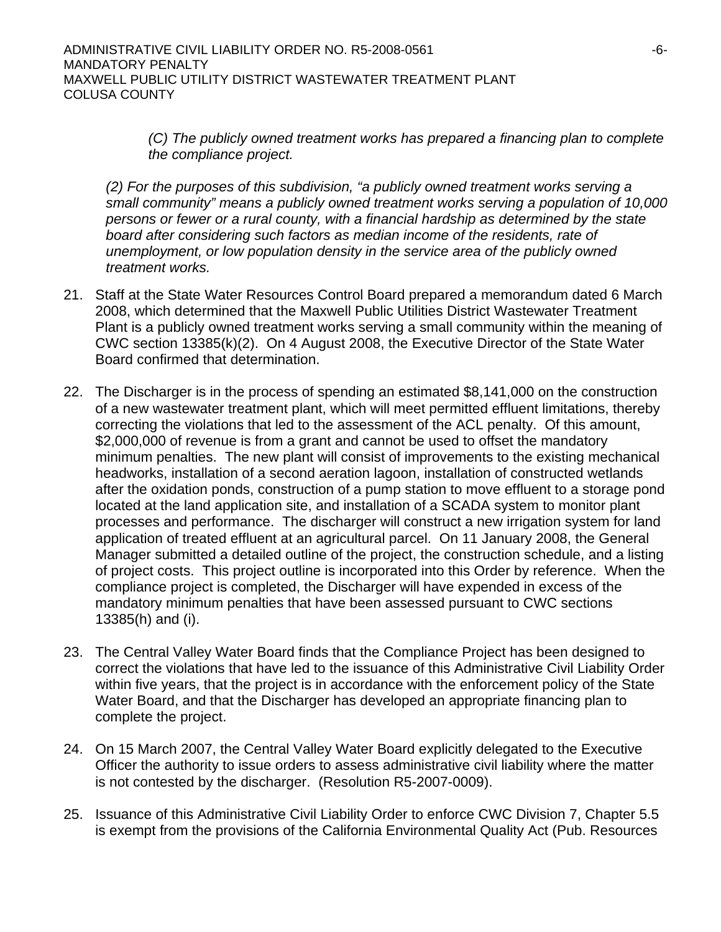ADMINISTRATIVE CIVIL LIABILITY ORDER NO. R5-2008-0561 -6- MANDATORY PENALTY MAXWELL PUBLIC UTILITY DISTRICT WASTEWATER TREATMENT PLANT COLUSA COUNTY

> *(C) The publicly owned treatment works has prepared a financing plan to complete the compliance project.*

*(2) For the purposes of this subdivision, "a publicly owned treatment works serving a small community" means a publicly owned treatment works serving a population of 10,000 persons or fewer or a rural county, with a financial hardship as determined by the state board after considering such factors as median income of the residents, rate of unemployment, or low population density in the service area of the publicly owned treatment works.* 

- 21. Staff at the State Water Resources Control Board prepared a memorandum dated 6 March 2008, which determined that the Maxwell Public Utilities District Wastewater Treatment Plant is a publicly owned treatment works serving a small community within the meaning of CWC section 13385(k)(2). On 4 August 2008, the Executive Director of the State Water Board confirmed that determination.
- 22. The Discharger is in the process of spending an estimated \$8,141,000 on the construction of a new wastewater treatment plant, which will meet permitted effluent limitations, thereby correcting the violations that led to the assessment of the ACL penalty. Of this amount, \$2,000,000 of revenue is from a grant and cannot be used to offset the mandatory minimum penalties. The new plant will consist of improvements to the existing mechanical headworks, installation of a second aeration lagoon, installation of constructed wetlands after the oxidation ponds, construction of a pump station to move effluent to a storage pond located at the land application site, and installation of a SCADA system to monitor plant processes and performance. The discharger will construct a new irrigation system for land application of treated effluent at an agricultural parcel. On 11 January 2008, the General Manager submitted a detailed outline of the project, the construction schedule, and a listing of project costs. This project outline is incorporated into this Order by reference. When the compliance project is completed, the Discharger will have expended in excess of the mandatory minimum penalties that have been assessed pursuant to CWC sections 13385(h) and (i).
- 23. The Central Valley Water Board finds that the Compliance Project has been designed to correct the violations that have led to the issuance of this Administrative Civil Liability Order within five years, that the project is in accordance with the enforcement policy of the State Water Board, and that the Discharger has developed an appropriate financing plan to complete the project.
- 24. On 15 March 2007, the Central Valley Water Board explicitly delegated to the Executive Officer the authority to issue orders to assess administrative civil liability where the matter is not contested by the discharger. (Resolution R5-2007-0009).
- 25. Issuance of this Administrative Civil Liability Order to enforce CWC Division 7, Chapter 5.5 is exempt from the provisions of the California Environmental Quality Act (Pub. Resources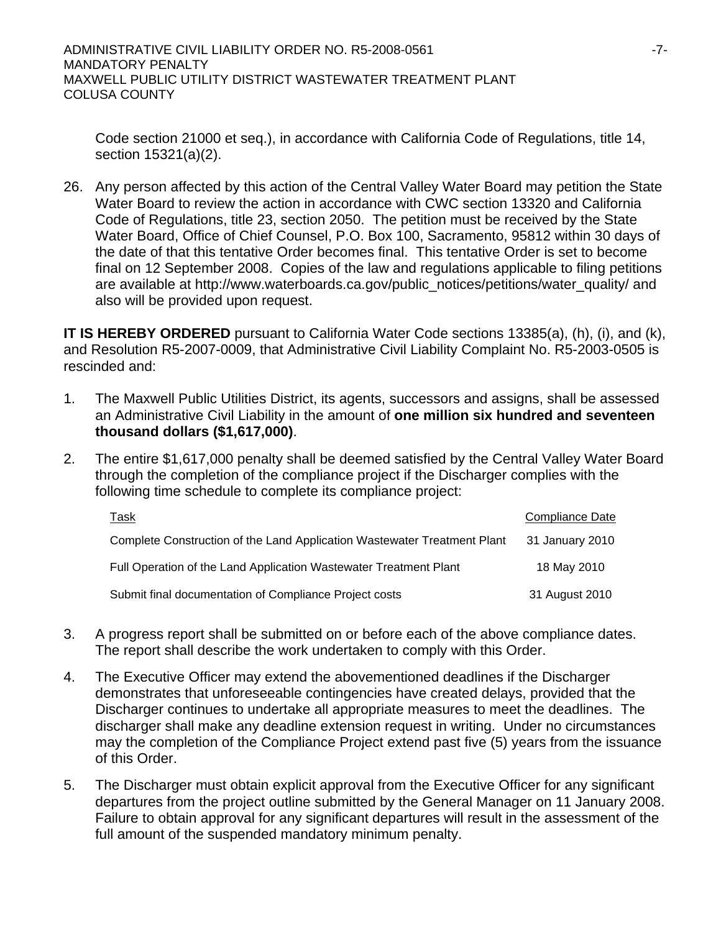Code section 21000 et seq.), in accordance with California Code of Regulations, title 14, section 15321(a)(2).

26. Any person affected by this action of the Central Valley Water Board may petition the State Water Board to review the action in accordance with CWC section 13320 and California Code of Regulations, title 23, section 2050. The petition must be received by the State Water Board, Office of Chief Counsel, P.O. Box 100, Sacramento, 95812 within 30 days of the date of that this tentative Order becomes final. This tentative Order is set to become final on 12 September 2008. Copies of the law and regulations applicable to filing petitions are available at http://www.waterboards.ca.gov/public\_notices/petitions/water\_quality/ and also will be provided upon request.

**IT IS HEREBY ORDERED** pursuant to California Water Code sections 13385(a), (h), (i), and (k), and Resolution R5-2007-0009, that Administrative Civil Liability Complaint No. R5-2003-0505 is rescinded and:

- 1. The Maxwell Public Utilities District, its agents, successors and assigns, shall be assessed an Administrative Civil Liability in the amount of **one million six hundred and seventeen thousand dollars (\$1,617,000)**.
- 2. The entire \$1,617,000 penalty shall be deemed satisfied by the Central Valley Water Board through the completion of the compliance project if the Discharger complies with the following time schedule to complete its compliance project:

| <b>Task</b>                                                              | Compliance Date |
|--------------------------------------------------------------------------|-----------------|
| Complete Construction of the Land Application Wastewater Treatment Plant | 31 January 2010 |
| Full Operation of the Land Application Wastewater Treatment Plant        | 18 May 2010     |
| Submit final documentation of Compliance Project costs                   | 31 August 2010  |

- 3. A progress report shall be submitted on or before each of the above compliance dates. The report shall describe the work undertaken to comply with this Order.
- 4. The Executive Officer may extend the abovementioned deadlines if the Discharger demonstrates that unforeseeable contingencies have created delays, provided that the Discharger continues to undertake all appropriate measures to meet the deadlines. The discharger shall make any deadline extension request in writing. Under no circumstances may the completion of the Compliance Project extend past five (5) years from the issuance of this Order.
- 5. The Discharger must obtain explicit approval from the Executive Officer for any significant departures from the project outline submitted by the General Manager on 11 January 2008. Failure to obtain approval for any significant departures will result in the assessment of the full amount of the suspended mandatory minimum penalty.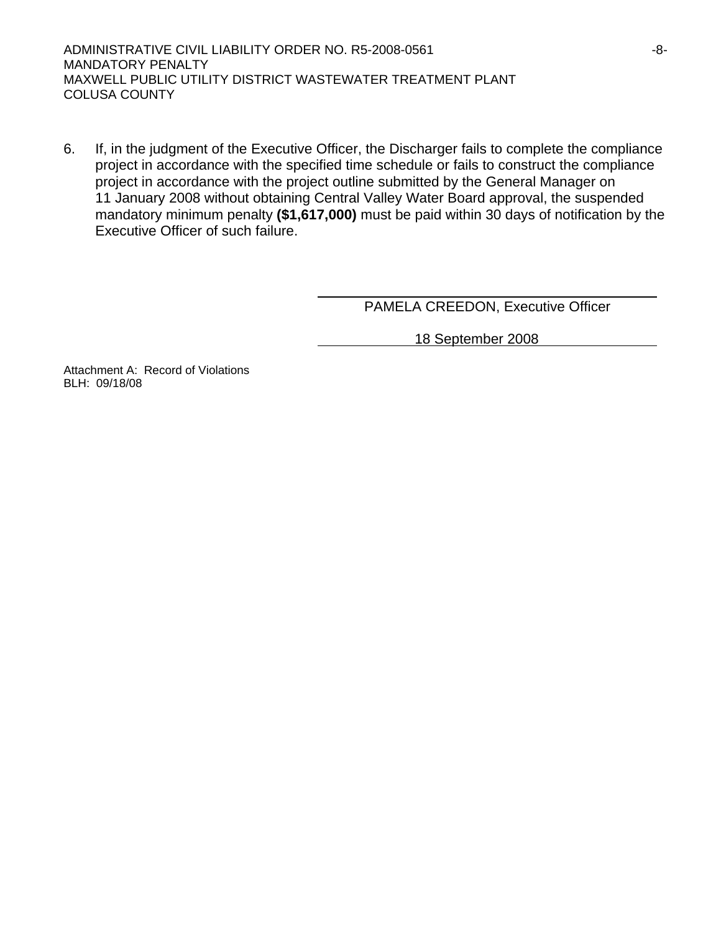ADMINISTRATIVE CIVIL LIABILITY ORDER NO. R5-2008-0561 -8- MANDATORY PENALTY MAXWELL PUBLIC UTILITY DISTRICT WASTEWATER TREATMENT PLANT COLUSA COUNTY

6. If, in the judgment of the Executive Officer, the Discharger fails to complete the compliance project in accordance with the specified time schedule or fails to construct the compliance project in accordance with the project outline submitted by the General Manager on 11 January 2008 without obtaining Central Valley Water Board approval, the suspended mandatory minimum penalty **(\$1,617,000)** must be paid within 30 days of notification by the Executive Officer of such failure.

PAMELA CREEDON, Executive Officer

18 September 2008

Attachment A: Record of Violations BLH: 09/18/08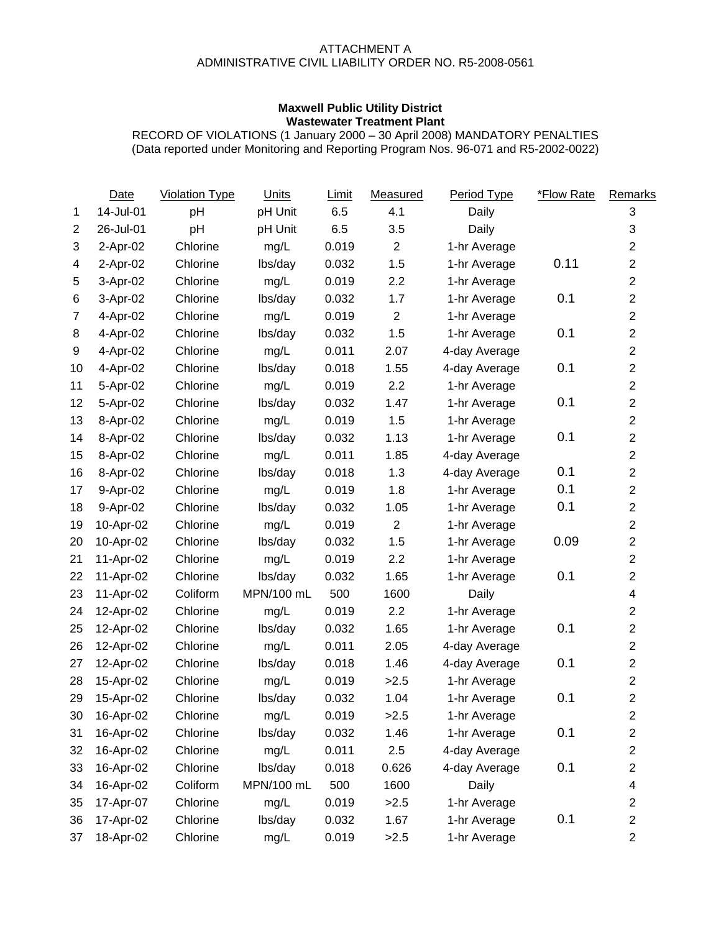### ATTACHMENT A ADMINISTRATIVE CIVIL LIABILITY ORDER NO. R5-2008-0561

### **Maxwell Public Utility District Wastewater Treatment Plant**

RECORD OF VIOLATIONS (1 January 2000 – 30 April 2008) MANDATORY PENALTIES (Data reported under Monitoring and Reporting Program Nos. 96-071 and R5-2002-0022)

|                | Date      | <b>Violation Type</b> | <b>Units</b> | Limit | Measured       | Period Type   | *Flow Rate | Remarks                 |
|----------------|-----------|-----------------------|--------------|-------|----------------|---------------|------------|-------------------------|
| 1              | 14-Jul-01 | pH                    | pH Unit      | 6.5   | 4.1            | Daily         |            | 3                       |
| $\overline{c}$ | 26-Jul-01 | pH                    | pH Unit      | 6.5   | 3.5            | Daily         |            | $\sqrt{3}$              |
| 3              | 2-Apr-02  | Chlorine              | mg/L         | 0.019 | $\mathbf{2}$   | 1-hr Average  |            | $\overline{c}$          |
| 4              | 2-Apr-02  | Chlorine              | lbs/day      | 0.032 | 1.5            | 1-hr Average  | 0.11       | $\overline{c}$          |
| 5              | 3-Apr-02  | Chlorine              | mg/L         | 0.019 | 2.2            | 1-hr Average  |            | $\overline{2}$          |
| 6              | 3-Apr-02  | Chlorine              | lbs/day      | 0.032 | 1.7            | 1-hr Average  | 0.1        | $\overline{2}$          |
| $\overline{7}$ | 4-Apr-02  | Chlorine              | mg/L         | 0.019 | $\overline{2}$ | 1-hr Average  |            | $\overline{2}$          |
| 8              | 4-Apr-02  | Chlorine              | lbs/day      | 0.032 | 1.5            | 1-hr Average  | 0.1        | $\overline{2}$          |
| 9              | 4-Apr-02  | Chlorine              | mg/L         | 0.011 | 2.07           | 4-day Average |            | $\overline{2}$          |
| 10             | 4-Apr-02  | Chlorine              | lbs/day      | 0.018 | 1.55           | 4-day Average | 0.1        | $\overline{2}$          |
| 11             | 5-Apr-02  | Chlorine              | mg/L         | 0.019 | 2.2            | 1-hr Average  |            | $\overline{2}$          |
| 12             | 5-Apr-02  | Chlorine              | lbs/day      | 0.032 | 1.47           | 1-hr Average  | 0.1        | $\overline{2}$          |
| 13             | 8-Apr-02  | Chlorine              | mg/L         | 0.019 | 1.5            | 1-hr Average  |            | $\overline{2}$          |
| 14             | 8-Apr-02  | Chlorine              | lbs/day      | 0.032 | 1.13           | 1-hr Average  | 0.1        | $\overline{2}$          |
| 15             | 8-Apr-02  | Chlorine              | mg/L         | 0.011 | 1.85           | 4-day Average |            | $\overline{c}$          |
| 16             | 8-Apr-02  | Chlorine              | lbs/day      | 0.018 | 1.3            | 4-day Average | 0.1        | $\overline{c}$          |
| 17             | 9-Apr-02  | Chlorine              | mg/L         | 0.019 | 1.8            | 1-hr Average  | 0.1        | $\overline{c}$          |
| 18             | 9-Apr-02  | Chlorine              | lbs/day      | 0.032 | 1.05           | 1-hr Average  | 0.1        | $\overline{2}$          |
| 19             | 10-Apr-02 | Chlorine              | mg/L         | 0.019 | $\mathbf{2}$   | 1-hr Average  |            | $\overline{2}$          |
| 20             | 10-Apr-02 | Chlorine              | lbs/day      | 0.032 | 1.5            | 1-hr Average  | 0.09       | $\overline{2}$          |
| 21             | 11-Apr-02 | Chlorine              | mg/L         | 0.019 | 2.2            | 1-hr Average  |            | $\overline{2}$          |
| 22             | 11-Apr-02 | Chlorine              | lbs/day      | 0.032 | 1.65           | 1-hr Average  | 0.1        | $\overline{2}$          |
| 23             | 11-Apr-02 | Coliform              | MPN/100 mL   | 500   | 1600           | Daily         |            | $\overline{\mathbf{4}}$ |
| 24             | 12-Apr-02 | Chlorine              | mg/L         | 0.019 | 2.2            | 1-hr Average  |            | $\overline{2}$          |
| 25             | 12-Apr-02 | Chlorine              | lbs/day      | 0.032 | 1.65           | 1-hr Average  | 0.1        | $\overline{c}$          |
| 26             | 12-Apr-02 | Chlorine              | mg/L         | 0.011 | 2.05           | 4-day Average |            | $\overline{2}$          |
| 27             | 12-Apr-02 | Chlorine              | lbs/day      | 0.018 | 1.46           | 4-day Average | 0.1        | $\overline{2}$          |
| 28             | 15-Apr-02 | Chlorine              | mg/L         | 0.019 | >2.5           | 1-hr Average  |            | $\overline{2}$          |
| 29             | 15-Apr-02 | Chlorine              | lbs/day      | 0.032 | 1.04           | 1-hr Average  | 0.1        | $\overline{2}$          |
| 30             | 16-Apr-02 | Chlorine              | mg/L         | 0.019 | >2.5           | 1-hr Average  |            | $\overline{\mathbf{c}}$ |
| 31             | 16-Apr-02 | Chlorine              | lbs/day      | 0.032 | 1.46           | 1-hr Average  | 0.1        | $\overline{\mathbf{c}}$ |
| 32             | 16-Apr-02 | Chlorine              | mg/L         | 0.011 | 2.5            | 4-day Average |            | $\overline{\mathbf{c}}$ |
| 33             | 16-Apr-02 | Chlorine              | lbs/day      | 0.018 | 0.626          | 4-day Average | 0.1        | $\overline{c}$          |
| 34             | 16-Apr-02 | Coliform              | MPN/100 mL   | 500   | 1600           | Daily         |            | 4                       |
| 35             | 17-Apr-07 | Chlorine              | mg/L         | 0.019 | >2.5           | 1-hr Average  |            | $\overline{c}$          |
| 36             | 17-Apr-02 | Chlorine              | lbs/day      | 0.032 | 1.67           | 1-hr Average  | 0.1        | $\overline{2}$          |
| 37             | 18-Apr-02 | Chlorine              | mg/L         | 0.019 | >2.5           | 1-hr Average  |            | $\overline{2}$          |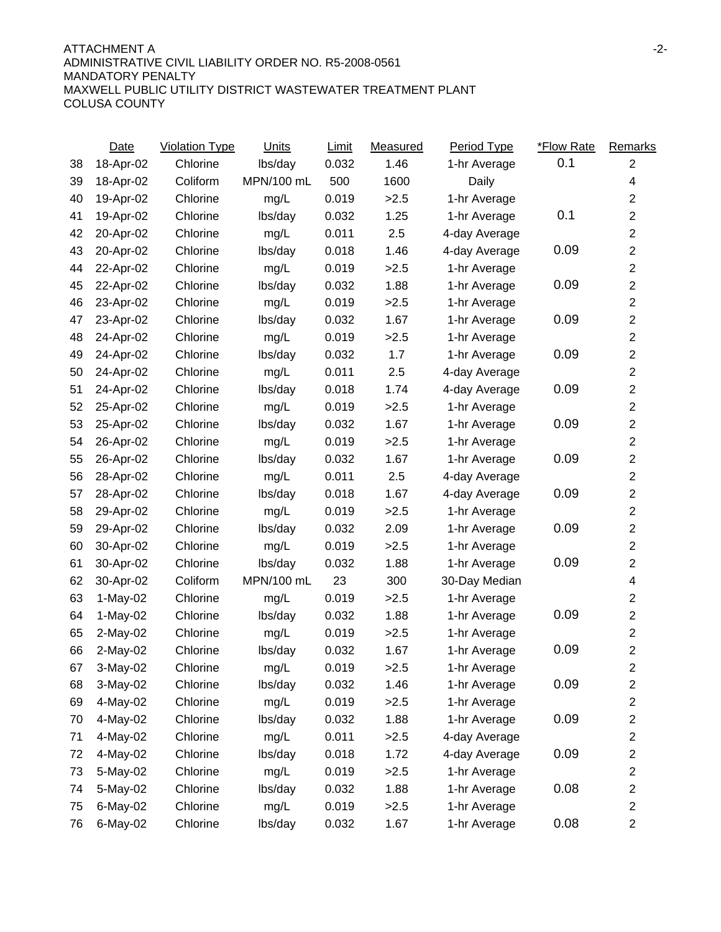#### ATTACHMENT A -2- ADMINISTRATIVE CIVIL LIABILITY ORDER NO. R5-2008-0561 MANDATORY PENALTY MAXWELL PUBLIC UTILITY DISTRICT WASTEWATER TREATMENT PLANT COLUSA COUNTY

|    | Date       | <b>Violation Type</b> | <b>Units</b> | Limit | Measured | Period Type   | *Flow Rate | Remarks                 |
|----|------------|-----------------------|--------------|-------|----------|---------------|------------|-------------------------|
| 38 | 18-Apr-02  | Chlorine              | lbs/day      | 0.032 | 1.46     | 1-hr Average  | 0.1        | 2                       |
| 39 | 18-Apr-02  | Coliform              | MPN/100 mL   | 500   | 1600     | Daily         |            | 4                       |
| 40 | 19-Apr-02  | Chlorine              | mg/L         | 0.019 | >2.5     | 1-hr Average  |            | $\overline{2}$          |
| 41 | 19-Apr-02  | Chlorine              | lbs/day      | 0.032 | 1.25     | 1-hr Average  | 0.1        | $\overline{2}$          |
| 42 | 20-Apr-02  | Chlorine              | mg/L         | 0.011 | 2.5      | 4-day Average |            | $\overline{2}$          |
| 43 | 20-Apr-02  | Chlorine              | lbs/day      | 0.018 | 1.46     | 4-day Average | 0.09       | $\overline{2}$          |
| 44 | 22-Apr-02  | Chlorine              | mg/L         | 0.019 | >2.5     | 1-hr Average  |            | $\overline{2}$          |
| 45 | 22-Apr-02  | Chlorine              | lbs/day      | 0.032 | 1.88     | 1-hr Average  | 0.09       | $\overline{2}$          |
| 46 | 23-Apr-02  | Chlorine              | mg/L         | 0.019 | >2.5     | 1-hr Average  |            | $\overline{2}$          |
| 47 | 23-Apr-02  | Chlorine              | lbs/day      | 0.032 | 1.67     | 1-hr Average  | 0.09       | $\overline{2}$          |
| 48 | 24-Apr-02  | Chlorine              | mg/L         | 0.019 | >2.5     | 1-hr Average  |            | $\overline{2}$          |
| 49 | 24-Apr-02  | Chlorine              | lbs/day      | 0.032 | 1.7      | 1-hr Average  | 0.09       | $\overline{c}$          |
| 50 | 24-Apr-02  | Chlorine              | mg/L         | 0.011 | 2.5      | 4-day Average |            | $\overline{2}$          |
| 51 | 24-Apr-02  | Chlorine              | lbs/day      | 0.018 | 1.74     | 4-day Average | 0.09       | $\overline{2}$          |
| 52 | 25-Apr-02  | Chlorine              | mg/L         | 0.019 | >2.5     | 1-hr Average  |            | $\overline{2}$          |
| 53 | 25-Apr-02  | Chlorine              | lbs/day      | 0.032 | 1.67     | 1-hr Average  | 0.09       | $\overline{2}$          |
| 54 | 26-Apr-02  | Chlorine              | mg/L         | 0.019 | >2.5     | 1-hr Average  |            | $\overline{2}$          |
| 55 | 26-Apr-02  | Chlorine              | lbs/day      | 0.032 | 1.67     | 1-hr Average  | 0.09       | $\overline{2}$          |
| 56 | 28-Apr-02  | Chlorine              | mg/L         | 0.011 | 2.5      | 4-day Average |            | $\overline{2}$          |
| 57 | 28-Apr-02  | Chlorine              | lbs/day      | 0.018 | 1.67     | 4-day Average | 0.09       | $\overline{2}$          |
| 58 | 29-Apr-02  | Chlorine              | mg/L         | 0.019 | >2.5     | 1-hr Average  |            | $\overline{2}$          |
| 59 | 29-Apr-02  | Chlorine              | lbs/day      | 0.032 | 2.09     | 1-hr Average  | 0.09       | $\overline{2}$          |
| 60 | 30-Apr-02  | Chlorine              | mg/L         | 0.019 | >2.5     | 1-hr Average  |            | $\overline{2}$          |
| 61 | 30-Apr-02  | Chlorine              | lbs/day      | 0.032 | 1.88     | 1-hr Average  | 0.09       | $\overline{2}$          |
| 62 | 30-Apr-02  | Coliform              | MPN/100 mL   | 23    | 300      | 30-Day Median |            | 4                       |
| 63 | $1-May-02$ | Chlorine              | mg/L         | 0.019 | >2.5     | 1-hr Average  |            | $\overline{c}$          |
| 64 | $1-May-02$ | Chlorine              | lbs/day      | 0.032 | 1.88     | 1-hr Average  | 0.09       | $\overline{c}$          |
| 65 | 2-May-02   | Chlorine              | mg/L         | 0.019 | >2.5     | 1-hr Average  |            | $\overline{2}$          |
| 66 | 2-May-02   | Chlorine              | lbs/day      | 0.032 | 1.67     | 1-hr Average  | 0.09       | $\overline{2}$          |
| 67 | 3-May-02   | Chlorine              | mg/L         | 0.019 | >2.5     | 1-hr Average  |            | 2                       |
| 68 | 3-May-02   | Chlorine              | lbs/day      | 0.032 | 1.46     | 1-hr Average  | 0.09       | $\overline{c}$          |
| 69 | 4-May-02   | Chlorine              | mg/L         | 0.019 | >2.5     | 1-hr Average  |            | 2                       |
| 70 | 4-May-02   | Chlorine              | lbs/day      | 0.032 | 1.88     | 1-hr Average  | 0.09       | 2                       |
| 71 | 4-May-02   | Chlorine              | mg/L         | 0.011 | >2.5     | 4-day Average |            | 2                       |
| 72 | 4-May-02   | Chlorine              | lbs/day      | 0.018 | 1.72     | 4-day Average | 0.09       | $\overline{c}$          |
| 73 | 5-May-02   | Chlorine              | mg/L         | 0.019 | >2.5     | 1-hr Average  |            | 2                       |
| 74 | 5-May-02   | Chlorine              | lbs/day      | 0.032 | 1.88     | 1-hr Average  | 0.08       | $\overline{\mathbf{c}}$ |
| 75 | 6-May-02   | Chlorine              | mg/L         | 0.019 | >2.5     | 1-hr Average  |            | $\overline{c}$          |
| 76 | 6-May-02   | Chlorine              | lbs/day      | 0.032 | 1.67     | 1-hr Average  | 0.08       | 2                       |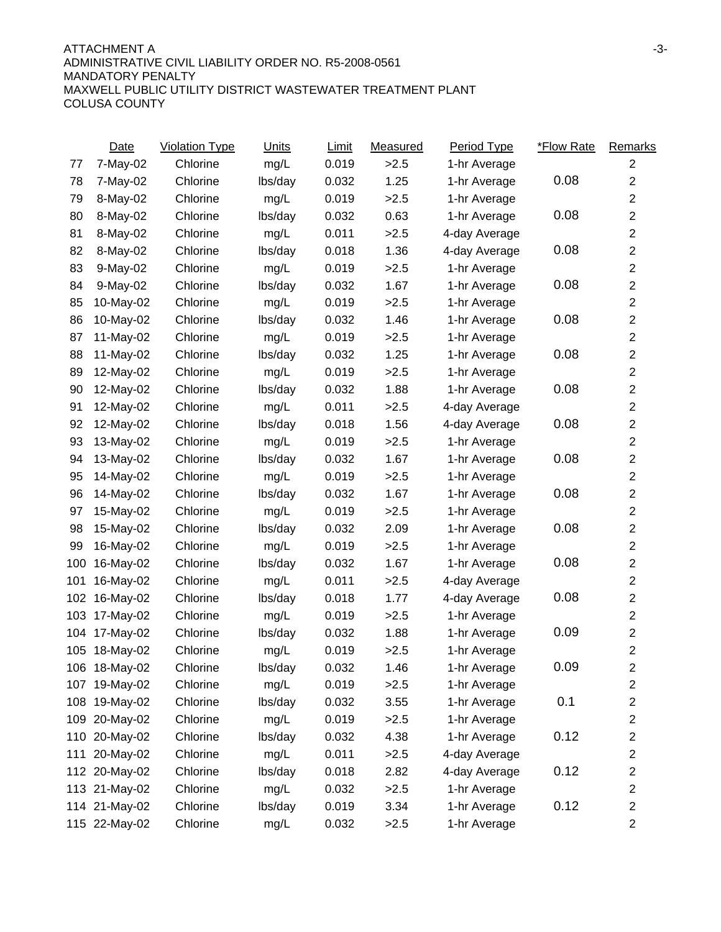|     | Date          | <b>Violation Type</b> | Units   | Limit | Measured | Period Type   | *Flow Rate | Remarks                 |
|-----|---------------|-----------------------|---------|-------|----------|---------------|------------|-------------------------|
| 77  | 7-May-02      | Chlorine              | mg/L    | 0.019 | >2.5     | 1-hr Average  |            | $\overline{2}$          |
| 78  | 7-May-02      | Chlorine              | lbs/day | 0.032 | 1.25     | 1-hr Average  | 0.08       | $\overline{c}$          |
| 79  | 8-May-02      | Chlorine              | mg/L    | 0.019 | >2.5     | 1-hr Average  |            | $\overline{2}$          |
| 80  | 8-May-02      | Chlorine              | lbs/day | 0.032 | 0.63     | 1-hr Average  | 0.08       | $\overline{c}$          |
| 81  | 8-May-02      | Chlorine              | mg/L    | 0.011 | >2.5     | 4-day Average |            | $\overline{c}$          |
| 82  | 8-May-02      | Chlorine              | lbs/day | 0.018 | 1.36     | 4-day Average | 0.08       | $\overline{c}$          |
| 83  | 9-May-02      | Chlorine              | mg/L    | 0.019 | >2.5     | 1-hr Average  |            | $\overline{c}$          |
| 84  | 9-May-02      | Chlorine              | lbs/day | 0.032 | 1.67     | 1-hr Average  | 0.08       | $\overline{c}$          |
| 85  | 10-May-02     | Chlorine              | mg/L    | 0.019 | >2.5     | 1-hr Average  |            | $\overline{c}$          |
| 86  | 10-May-02     | Chlorine              | lbs/day | 0.032 | 1.46     | 1-hr Average  | 0.08       | $\overline{c}$          |
| 87  | 11-May-02     | Chlorine              | mg/L    | 0.019 | >2.5     | 1-hr Average  |            | $\overline{c}$          |
| 88  | 11-May-02     | Chlorine              | lbs/day | 0.032 | 1.25     | 1-hr Average  | 0.08       | $\overline{c}$          |
| 89  | 12-May-02     | Chlorine              | mg/L    | 0.019 | >2.5     | 1-hr Average  |            | $\overline{c}$          |
| 90  | 12-May-02     | Chlorine              | lbs/day | 0.032 | 1.88     | 1-hr Average  | 0.08       | $\overline{c}$          |
| 91  | 12-May-02     | Chlorine              | mg/L    | 0.011 | >2.5     | 4-day Average |            | $\overline{c}$          |
| 92  | 12-May-02     | Chlorine              | lbs/day | 0.018 | 1.56     | 4-day Average | 0.08       | $\overline{c}$          |
| 93  | 13-May-02     | Chlorine              | mg/L    | 0.019 | >2.5     | 1-hr Average  |            | $\overline{c}$          |
| 94  | 13-May-02     | Chlorine              | lbs/day | 0.032 | 1.67     | 1-hr Average  | 0.08       | $\overline{c}$          |
| 95  | 14-May-02     | Chlorine              | mg/L    | 0.019 | >2.5     | 1-hr Average  |            | $\overline{2}$          |
| 96  | 14-May-02     | Chlorine              | lbs/day | 0.032 | 1.67     | 1-hr Average  | 0.08       | $\overline{c}$          |
| 97  | 15-May-02     | Chlorine              | mg/L    | 0.019 | >2.5     | 1-hr Average  |            | $\overline{c}$          |
| 98  | 15-May-02     | Chlorine              | lbs/day | 0.032 | 2.09     | 1-hr Average  | 0.08       | $\overline{c}$          |
| 99  | 16-May-02     | Chlorine              | mg/L    | 0.019 | >2.5     | 1-hr Average  |            | $\overline{2}$          |
| 100 | 16-May-02     | Chlorine              | lbs/day | 0.032 | 1.67     | 1-hr Average  | 0.08       | $\overline{c}$          |
| 101 | 16-May-02     | Chlorine              | mg/L    | 0.011 | >2.5     | 4-day Average |            | $\overline{c}$          |
| 102 | 16-May-02     | Chlorine              | lbs/day | 0.018 | 1.77     | 4-day Average | 0.08       | $\overline{c}$          |
| 103 | 17-May-02     | Chlorine              | mg/L    | 0.019 | >2.5     | 1-hr Average  |            | $\overline{c}$          |
| 104 | 17-May-02     | Chlorine              | lbs/day | 0.032 | 1.88     | 1-hr Average  | 0.09       | $\overline{c}$          |
| 105 | 18-May-02     | Chlorine              | mg/L    | 0.019 | >2.5     | 1-hr Average  |            | $\overline{2}$          |
|     | 106 18-May-02 | Chlorine              | lbs/day | 0.032 | 1.46     | 1-hr Average  | 0.09       | $\overline{2}$          |
|     | 107 19-May-02 | Chlorine              | mg/L    | 0.019 | >2.5     | 1-hr Average  |            | $\overline{2}$          |
|     | 108 19-May-02 | Chlorine              | lbs/day | 0.032 | 3.55     | 1-hr Average  | 0.1        | $\overline{\mathbf{c}}$ |
|     | 109 20-May-02 | Chlorine              | mg/L    | 0.019 | >2.5     | 1-hr Average  |            | $\overline{c}$          |
|     | 110 20-May-02 | Chlorine              | lbs/day | 0.032 | 4.38     | 1-hr Average  | 0.12       | $\overline{\mathbf{c}}$ |
| 111 | 20-May-02     | Chlorine              | mg/L    | 0.011 | >2.5     | 4-day Average |            | $\overline{c}$          |
|     | 112 20-May-02 | Chlorine              | lbs/day | 0.018 | 2.82     | 4-day Average | 0.12       | $\overline{\mathbf{c}}$ |
|     | 113 21-May-02 | Chlorine              | mg/L    | 0.032 | >2.5     | 1-hr Average  |            | $\overline{c}$          |
|     | 114 21-May-02 | Chlorine              | lbs/day | 0.019 | 3.34     | 1-hr Average  | 0.12       | $\overline{\mathbf{c}}$ |
|     | 115 22-May-02 | Chlorine              | mg/L    | 0.032 | >2.5     | 1-hr Average  |            | $\overline{\mathbf{c}}$ |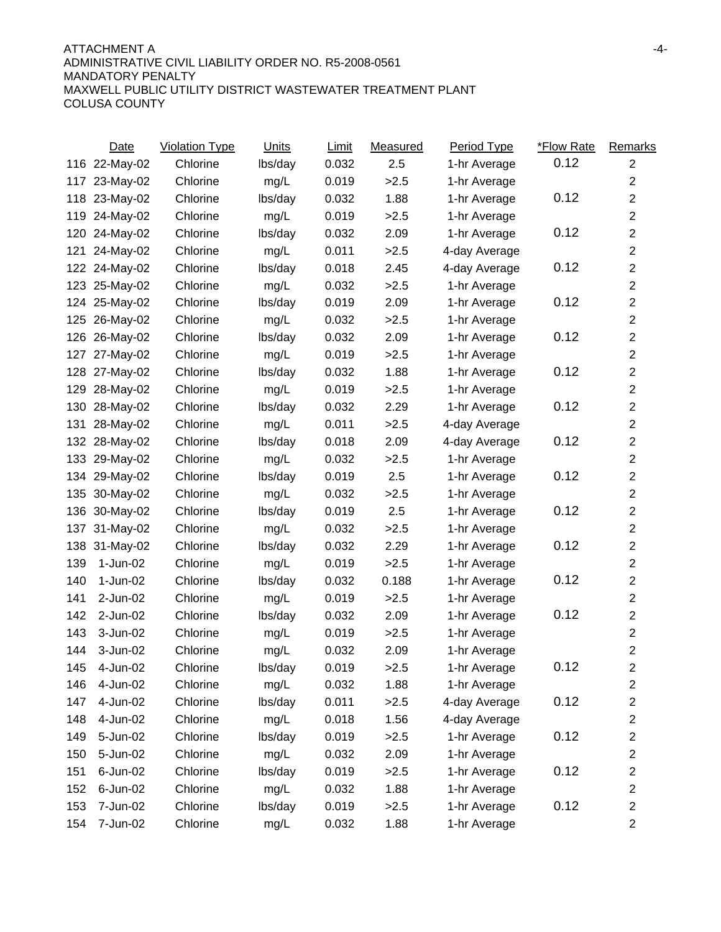### ATTACHMENT A -4- ADMINISTRATIVE CIVIL LIABILITY ORDER NO. R5-2008-0561 MANDATORY PENALTY MAXWELL PUBLIC UTILITY DISTRICT WASTEWATER TREATMENT PLANT COLUSA COUNTY

|     | Date          | <b>Violation Type</b> | <b>Units</b> | Limit | Measured | <b>Period Type</b> | *Flow Rate | Remarks                 |
|-----|---------------|-----------------------|--------------|-------|----------|--------------------|------------|-------------------------|
|     | 116 22-May-02 | Chlorine              | lbs/day      | 0.032 | 2.5      | 1-hr Average       | 0.12       | $\overline{2}$          |
| 117 | 23-May-02     | Chlorine              | mg/L         | 0.019 | >2.5     | 1-hr Average       |            | $\overline{2}$          |
|     | 118 23-May-02 | Chlorine              | lbs/day      | 0.032 | 1.88     | 1-hr Average       | 0.12       | $\boldsymbol{2}$        |
|     | 119 24-May-02 | Chlorine              | mg/L         | 0.019 | >2.5     | 1-hr Average       |            | $\boldsymbol{2}$        |
|     | 120 24-May-02 | Chlorine              | lbs/day      | 0.032 | 2.09     | 1-hr Average       | 0.12       | $\overline{2}$          |
| 121 | 24-May-02     | Chlorine              | mg/L         | 0.011 | >2.5     | 4-day Average      |            | $\overline{2}$          |
|     | 122 24-May-02 | Chlorine              | lbs/day      | 0.018 | 2.45     | 4-day Average      | 0.12       | $\overline{2}$          |
|     | 123 25-May-02 | Chlorine              | mg/L         | 0.032 | >2.5     | 1-hr Average       |            | $\boldsymbol{2}$        |
|     | 124 25-May-02 | Chlorine              | lbs/day      | 0.019 | 2.09     | 1-hr Average       | 0.12       | $\boldsymbol{2}$        |
|     | 125 26-May-02 | Chlorine              | mg/L         | 0.032 | >2.5     | 1-hr Average       |            | $\boldsymbol{2}$        |
| 126 | 26-May-02     | Chlorine              | lbs/day      | 0.032 | 2.09     | 1-hr Average       | 0.12       | $\boldsymbol{2}$        |
| 127 | 27-May-02     | Chlorine              | mg/L         | 0.019 | >2.5     | 1-hr Average       |            | $\boldsymbol{2}$        |
| 128 | 27-May-02     | Chlorine              | lbs/day      | 0.032 | 1.88     | 1-hr Average       | 0.12       | $\boldsymbol{2}$        |
| 129 | 28-May-02     | Chlorine              | mg/L         | 0.019 | >2.5     | 1-hr Average       |            | $\boldsymbol{2}$        |
| 130 | 28-May-02     | Chlorine              | lbs/day      | 0.032 | 2.29     | 1-hr Average       | 0.12       | $\boldsymbol{2}$        |
| 131 | 28-May-02     | Chlorine              | mg/L         | 0.011 | >2.5     | 4-day Average      |            | $\overline{2}$          |
|     | 132 28-May-02 | Chlorine              | lbs/day      | 0.018 | 2.09     | 4-day Average      | 0.12       | $\boldsymbol{2}$        |
|     | 133 29-May-02 | Chlorine              | mg/L         | 0.032 | >2.5     | 1-hr Average       |            | $\overline{2}$          |
|     | 134 29-May-02 | Chlorine              | lbs/day      | 0.019 | 2.5      | 1-hr Average       | 0.12       | $\overline{2}$          |
| 135 | 30-May-02     | Chlorine              | mg/L         | 0.032 | >2.5     | 1-hr Average       |            | $\boldsymbol{2}$        |
| 136 | 30-May-02     | Chlorine              | lbs/day      | 0.019 | 2.5      | 1-hr Average       | 0.12       | $\overline{\mathbf{c}}$ |
| 137 | 31-May-02     | Chlorine              | mg/L         | 0.032 | >2.5     | 1-hr Average       |            | $\overline{2}$          |
| 138 | 31-May-02     | Chlorine              | lbs/day      | 0.032 | 2.29     | 1-hr Average       | 0.12       | $\overline{2}$          |
| 139 | 1-Jun-02      | Chlorine              | mg/L         | 0.019 | >2.5     | 1-hr Average       |            | $\boldsymbol{2}$        |
| 140 | 1-Jun-02      | Chlorine              | lbs/day      | 0.032 | 0.188    | 1-hr Average       | 0.12       | $\boldsymbol{2}$        |
| 141 | 2-Jun-02      | Chlorine              | mg/L         | 0.019 | >2.5     | 1-hr Average       |            | $\overline{2}$          |
| 142 | 2-Jun-02      | Chlorine              | lbs/day      | 0.032 | 2.09     | 1-hr Average       | 0.12       | $\boldsymbol{2}$        |
| 143 | 3-Jun-02      | Chlorine              | mg/L         | 0.019 | >2.5     | 1-hr Average       |            | $\overline{2}$          |
| 144 | 3-Jun-02      | Chlorine              | mg/L         | 0.032 | 2.09     | 1-hr Average       |            | $\overline{2}$          |
| 145 | $4 - Jun-02$  | Chlorine              | lbs/day      | 0.019 | >2.5     | 1-hr Average       | 0.12       | $\overline{2}$          |
| 146 | 4-Jun-02      | Chlorine              | mg/L         | 0.032 | 1.88     | 1-hr Average       |            | $\overline{c}$          |
| 147 | 4-Jun-02      | Chlorine              | lbs/day      | 0.011 | >2.5     | 4-day Average      | 0.12       | $\overline{c}$          |
| 148 | 4-Jun-02      | Chlorine              | mg/L         | 0.018 | 1.56     | 4-day Average      |            | $\overline{c}$          |
| 149 | 5-Jun-02      | Chlorine              | lbs/day      | 0.019 | >2.5     | 1-hr Average       | 0.12       | $\overline{c}$          |
| 150 | 5-Jun-02      | Chlorine              | mg/L         | 0.032 | 2.09     | 1-hr Average       |            | $\overline{c}$          |
| 151 | 6-Jun-02      | Chlorine              | lbs/day      | 0.019 | >2.5     | 1-hr Average       | 0.12       | $\boldsymbol{2}$        |
| 152 | 6-Jun-02      | Chlorine              | mg/L         | 0.032 | 1.88     | 1-hr Average       |            | $\overline{c}$          |
| 153 | 7-Jun-02      | Chlorine              | lbs/day      | 0.019 | >2.5     | 1-hr Average       | 0.12       | $\overline{c}$          |
| 154 | 7-Jun-02      | Chlorine              | mg/L         | 0.032 | 1.88     | 1-hr Average       |            | $\overline{c}$          |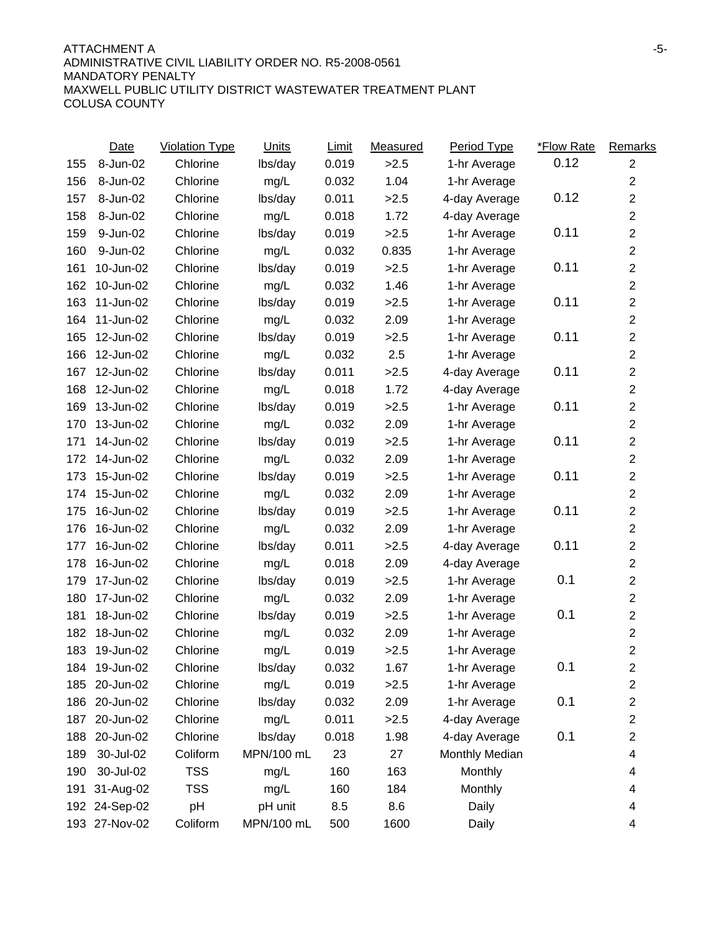|     | Date          | <b>Violation Type</b> | <b>Units</b> | Limit | Measured | <b>Period Type</b> | *Flow Rate | Remarks          |
|-----|---------------|-----------------------|--------------|-------|----------|--------------------|------------|------------------|
| 155 | 8-Jun-02      | Chlorine              | lbs/day      | 0.019 | >2.5     | 1-hr Average       | 0.12       | $\overline{2}$   |
| 156 | 8-Jun-02      | Chlorine              | mg/L         | 0.032 | 1.04     | 1-hr Average       |            | $\overline{2}$   |
| 157 | 8-Jun-02      | Chlorine              | lbs/day      | 0.011 | >2.5     | 4-day Average      | 0.12       | $\boldsymbol{2}$ |
| 158 | 8-Jun-02      | Chlorine              | mg/L         | 0.018 | 1.72     | 4-day Average      |            | $\overline{2}$   |
| 159 | 9-Jun-02      | Chlorine              | lbs/day      | 0.019 | >2.5     | 1-hr Average       | 0.11       | $\overline{2}$   |
| 160 | 9-Jun-02      | Chlorine              | mg/L         | 0.032 | 0.835    | 1-hr Average       |            | $\overline{2}$   |
| 161 | 10-Jun-02     | Chlorine              | lbs/day      | 0.019 | >2.5     | 1-hr Average       | 0.11       | $\overline{2}$   |
| 162 | 10-Jun-02     | Chlorine              | mg/L         | 0.032 | 1.46     | 1-hr Average       |            | $\boldsymbol{2}$ |
| 163 | 11-Jun-02     | Chlorine              | lbs/day      | 0.019 | >2.5     | 1-hr Average       | 0.11       | $\boldsymbol{2}$ |
| 164 | 11-Jun-02     | Chlorine              | mg/L         | 0.032 | 2.09     | 1-hr Average       |            | $\boldsymbol{2}$ |
| 165 | 12-Jun-02     | Chlorine              | lbs/day      | 0.019 | >2.5     | 1-hr Average       | 0.11       | $\overline{2}$   |
| 166 | 12-Jun-02     | Chlorine              | mg/L         | 0.032 | 2.5      | 1-hr Average       |            | $\boldsymbol{2}$ |
| 167 | 12-Jun-02     | Chlorine              | lbs/day      | 0.011 | >2.5     | 4-day Average      | 0.11       | $\boldsymbol{2}$ |
| 168 | 12-Jun-02     | Chlorine              | mg/L         | 0.018 | 1.72     | 4-day Average      |            | $\mathbf 2$      |
| 169 | 13-Jun-02     | Chlorine              | lbs/day      | 0.019 | >2.5     | 1-hr Average       | 0.11       | $\overline{2}$   |
| 170 | 13-Jun-02     | Chlorine              | mg/L         | 0.032 | 2.09     | 1-hr Average       |            | $\overline{2}$   |
| 171 | 14-Jun-02     | Chlorine              | lbs/day      | 0.019 | >2.5     | 1-hr Average       | 0.11       | $\overline{c}$   |
| 172 | 14-Jun-02     | Chlorine              | mg/L         | 0.032 | 2.09     | 1-hr Average       |            | $\overline{2}$   |
| 173 | 15-Jun-02     | Chlorine              | lbs/day      | 0.019 | >2.5     | 1-hr Average       | 0.11       | $\overline{2}$   |
| 174 | 15-Jun-02     | Chlorine              | mg/L         | 0.032 | 2.09     | 1-hr Average       |            | $\overline{2}$   |
| 175 | 16-Jun-02     | Chlorine              | lbs/day      | 0.019 | >2.5     | 1-hr Average       | 0.11       | $\mathbf 2$      |
| 176 | 16-Jun-02     | Chlorine              | mg/L         | 0.032 | 2.09     | 1-hr Average       |            | $\overline{2}$   |
| 177 | 16-Jun-02     | Chlorine              | lbs/day      | 0.011 | >2.5     | 4-day Average      | 0.11       | $\boldsymbol{2}$ |
| 178 | 16-Jun-02     | Chlorine              | mg/L         | 0.018 | 2.09     | 4-day Average      |            | $\boldsymbol{2}$ |
| 179 | 17-Jun-02     | Chlorine              | lbs/day      | 0.019 | >2.5     | 1-hr Average       | 0.1        | $\overline{2}$   |
| 180 | 17-Jun-02     | Chlorine              | mg/L         | 0.032 | 2.09     | 1-hr Average       |            | $\overline{2}$   |
| 181 | 18-Jun-02     | Chlorine              | lbs/day      | 0.019 | >2.5     | 1-hr Average       | 0.1        | $\boldsymbol{2}$ |
| 182 | 18-Jun-02     | Chlorine              | mg/L         | 0.032 | 2.09     | 1-hr Average       |            | $\overline{2}$   |
| 183 | 19-Jun-02     | Chlorine              | mg/L         | 0.019 | >2.5     | 1-hr Average       |            | $\overline{2}$   |
|     | 184 19-Jun-02 | Chlorine              | lbs/day      | 0.032 | 1.67     | 1-hr Average       | 0.1        | $\overline{2}$   |
|     | 185 20-Jun-02 | Chlorine              | mg/L         | 0.019 | >2.5     | 1-hr Average       |            | $\overline{c}$   |
| 186 | 20-Jun-02     | Chlorine              | lbs/day      | 0.032 | 2.09     | 1-hr Average       | 0.1        | $\boldsymbol{2}$ |
| 187 | 20-Jun-02     | Chlorine              | mg/L         | 0.011 | >2.5     | 4-day Average      |            | $\overline{c}$   |
| 188 | 20-Jun-02     | Chlorine              | lbs/day      | 0.018 | 1.98     | 4-day Average      | 0.1        | 2                |
| 189 | 30-Jul-02     | Coliform              | MPN/100 mL   | 23    | 27       | Monthly Median     |            | 4                |
| 190 | 30-Jul-02     | <b>TSS</b>            | mg/L         | 160   | 163      | Monthly            |            | 4                |
| 191 | 31-Aug-02     | <b>TSS</b>            | mg/L         | 160   | 184      | Monthly            |            | 4                |
| 192 | 24-Sep-02     | pH                    | pH unit      | 8.5   | 8.6      | Daily              |            | 4                |
|     | 193 27-Nov-02 | Coliform              | MPN/100 mL   | 500   | 1600     | Daily              |            | 4                |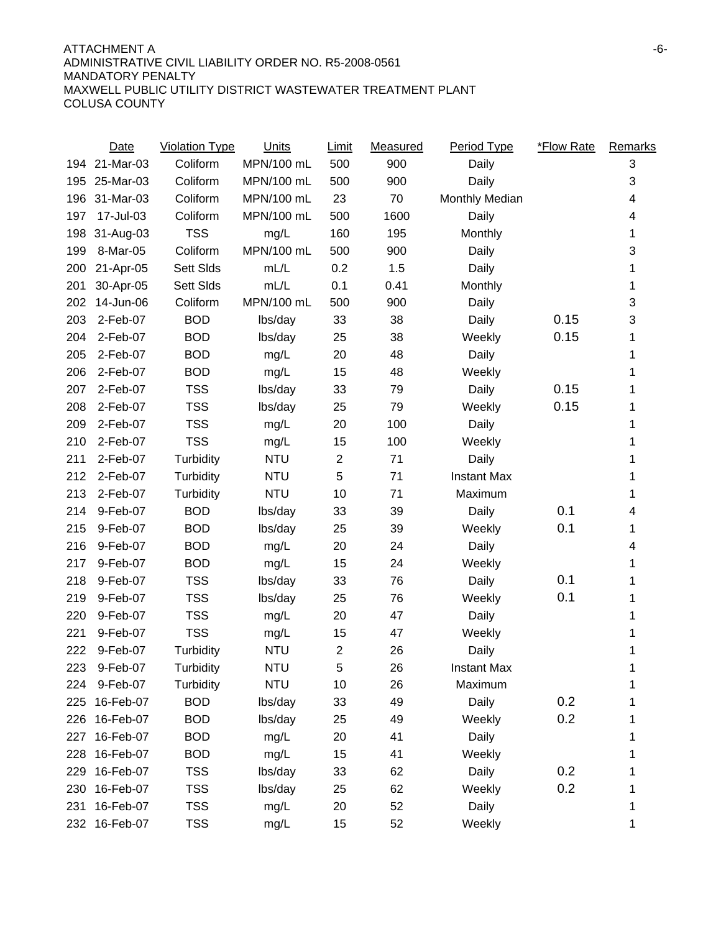### ATTACHMENT A FINISHED AND THE SERVICE OF A SERVICE OF A SERVICE OF A SERVICE OF A SERVICE OF A SERVICE OF A SERVICE OF A SERVICE OF A SERVICE OF A SERVICE OF A SERVICE OF A SERVICE OF A SERVICE OF A SERVICE OF A SERVICE OF ADMINISTRATIVE CIVIL LIABILITY ORDER NO. R5-2008-0561 MANDATORY PENALTY MAXWELL PUBLIC UTILITY DISTRICT WASTEWATER TREATMENT PLANT COLUSA COUNTY

|      | <b>Date</b> | Violation Type | <b>Units</b> | <b>Limit</b>   | Measured | Period Type        | <i><b>*Flow Rate</b></i> | Remarks |
|------|-------------|----------------|--------------|----------------|----------|--------------------|--------------------------|---------|
| 194  | 21-Mar-03   | Coliform       | MPN/100 mL   | 500            | 900      | Daily              |                          | 3       |
| 195  | 25-Mar-03   | Coliform       | MPN/100 mL   | 500            | 900      | Daily              |                          | 3       |
| 196  | 31-Mar-03   | Coliform       | MPN/100 mL   | 23             | 70       | Monthly Median     |                          | 4       |
| 197  | 17-Jul-03   | Coliform       | MPN/100 mL   | 500            | 1600     | Daily              |                          | 4       |
| 198  | 31-Aug-03   | <b>TSS</b>     | mg/L         | 160            | 195      | Monthly            |                          | 1       |
| 199  | 8-Mar-05    | Coliform       | MPN/100 mL   | 500            | 900      | Daily              |                          | 3       |
| 200  | 21-Apr-05   | Sett Slds      | mL/L         | 0.2            | 1.5      | Daily              |                          | 1       |
| 201  | 30-Apr-05   | Sett Slds      | mL/L         | 0.1            | 0.41     | Monthly            |                          | 1       |
| 202  | 14-Jun-06   | Coliform       | MPN/100 mL   | 500            | 900      | Daily              |                          | 3       |
| 203  | 2-Feb-07    | <b>BOD</b>     | lbs/day      | 33             | 38       | Daily              | 0.15                     | 3       |
| 204  | 2-Feb-07    | <b>BOD</b>     | lbs/day      | 25             | 38       | Weekly             | 0.15                     | 1       |
| 205  | 2-Feb-07    | <b>BOD</b>     | mg/L         | 20             | 48       | Daily              |                          | 1       |
| 206  | 2-Feb-07    | <b>BOD</b>     | mg/L         | 15             | 48       | Weekly             |                          | 1       |
| 207  | 2-Feb-07    | <b>TSS</b>     | lbs/day      | 33             | 79       | Daily              | 0.15                     | 1       |
| 208  | 2-Feb-07    | <b>TSS</b>     | lbs/day      | 25             | 79       | Weekly             | 0.15                     | 1       |
| 209  | 2-Feb-07    | <b>TSS</b>     | mg/L         | 20             | 100      | Daily              |                          | 1       |
| 210  | 2-Feb-07    | <b>TSS</b>     | mg/L         | 15             | 100      | Weekly             |                          | 1       |
| 211  | 2-Feb-07    | Turbidity      | <b>NTU</b>   | $\mathbf{2}$   | 71       | Daily              |                          | 1       |
| 212  | 2-Feb-07    | Turbidity      | <b>NTU</b>   | 5              | 71       | <b>Instant Max</b> |                          | 1       |
| 213  | 2-Feb-07    | Turbidity      | <b>NTU</b>   | 10             | 71       | Maximum            |                          | 1       |
| 214  | 9-Feb-07    | <b>BOD</b>     | lbs/day      | 33             | 39       | Daily              | 0.1                      | 4       |
| 215  | 9-Feb-07    | <b>BOD</b>     | lbs/day      | 25             | 39       | Weekly             | 0.1                      | 1       |
| 216  | 9-Feb-07    | <b>BOD</b>     | mg/L         | 20             | 24       | Daily              |                          | 4       |
| 217  | 9-Feb-07    | <b>BOD</b>     | mg/L         | 15             | 24       | Weekly             |                          | 1       |
| 218  | 9-Feb-07    | <b>TSS</b>     | lbs/day      | 33             | 76       | Daily              | 0.1                      | 1       |
| 219  | 9-Feb-07    | <b>TSS</b>     | lbs/day      | 25             | 76       | Weekly             | 0.1                      | 1       |
| 220  | 9-Feb-07    | <b>TSS</b>     | mg/L         | 20             | 47       | Daily              |                          | 1       |
| 221  | 9-Feb-07    | <b>TSS</b>     | mg/L         | 15             | 47       | Weekly             |                          | 1       |
| 222  | 9-Feb-07    | Turbidity      | <b>NTU</b>   | $\overline{2}$ | 26       | Daily              |                          | 1       |
| 223. | 9-Feb-07    | Turbidity      | <b>NTU</b>   | 5              | 26       | <b>Instant Max</b> |                          | 1       |
| 224  | 9-Feb-07    | Turbidity      | <b>NTU</b>   | 10             | 26       | Maximum            |                          | 1       |
| 225  | 16-Feb-07   | <b>BOD</b>     | lbs/day      | 33             | 49       | Daily              | 0.2                      | 1       |
| 226  | 16-Feb-07   | <b>BOD</b>     | lbs/day      | 25             | 49       | Weekly             | 0.2                      | 1       |
| 227  | 16-Feb-07   | <b>BOD</b>     | mg/L         | 20             | 41       | Daily              |                          | 1       |
| 228  | 16-Feb-07   | <b>BOD</b>     | mg/L         | 15             | 41       | Weekly             |                          | 1       |
| 229  | 16-Feb-07   | <b>TSS</b>     | lbs/day      | 33             | 62       | Daily              | 0.2                      |         |
| 230  | 16-Feb-07   | <b>TSS</b>     | lbs/day      | 25             | 62       | Weekly             | 0.2                      |         |
| 231  | 16-Feb-07   | <b>TSS</b>     | mg/L         | 20             | 52       | Daily              |                          | 1       |
| 232  | 16-Feb-07   | <b>TSS</b>     | mg/L         | 15             | 52       | Weekly             |                          | 1       |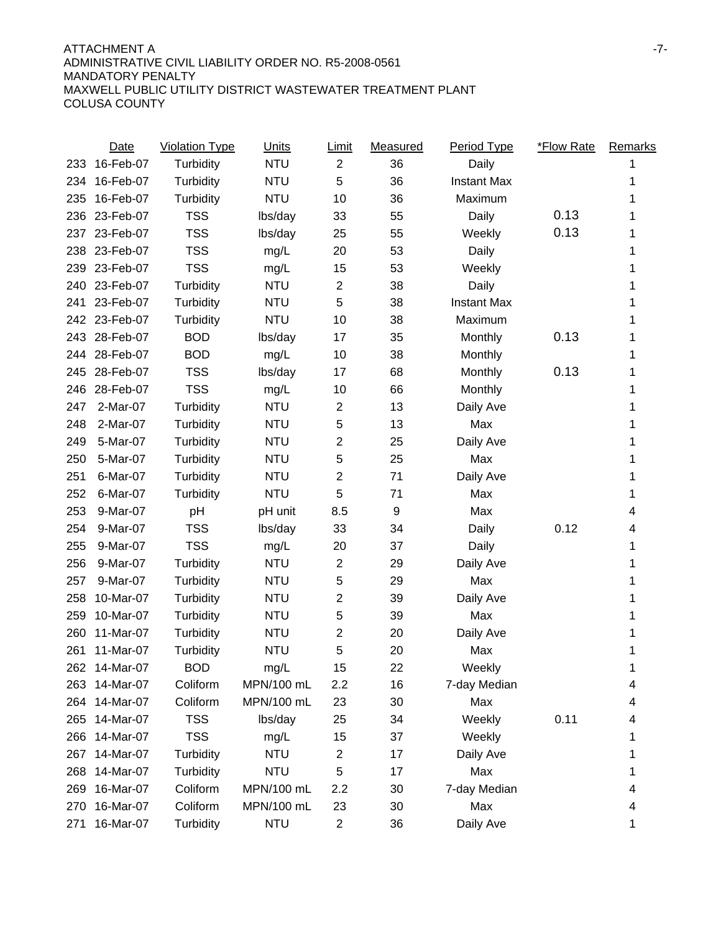### ATTACHMENT A -7- ADMINISTRATIVE CIVIL LIABILITY ORDER NO. R5-2008-0561 MANDATORY PENALTY MAXWELL PUBLIC UTILITY DISTRICT WASTEWATER TREATMENT PLANT COLUSA COUNTY

|     | <b>Date</b>   | <b>Violation Type</b> | <b>Units</b> | Limit          | Measured | <b>Period Type</b> | <b>*Flow Rate</b> | Remarks |
|-----|---------------|-----------------------|--------------|----------------|----------|--------------------|-------------------|---------|
| 233 | 16-Feb-07     | Turbidity             | <b>NTU</b>   | $\overline{2}$ | 36       | Daily              |                   |         |
| 234 | 16-Feb-07     | Turbidity             | <b>NTU</b>   | 5              | 36       | <b>Instant Max</b> |                   | 1       |
| 235 | 16-Feb-07     | Turbidity             | <b>NTU</b>   | 10             | 36       | Maximum            |                   |         |
| 236 | 23-Feb-07     | <b>TSS</b>            | lbs/day      | 33             | 55       | Daily              | 0.13              |         |
| 237 | 23-Feb-07     | <b>TSS</b>            | lbs/day      | 25             | 55       | Weekly             | 0.13              | 1       |
| 238 | 23-Feb-07     | <b>TSS</b>            | mg/L         | 20             | 53       | Daily              |                   |         |
| 239 | 23-Feb-07     | <b>TSS</b>            | mg/L         | 15             | 53       | Weekly             |                   |         |
| 240 | 23-Feb-07     | Turbidity             | <b>NTU</b>   | 2              | 38       | Daily              |                   | 1       |
| 241 | 23-Feb-07     | Turbidity             | <b>NTU</b>   | 5              | 38       | <b>Instant Max</b> |                   |         |
|     | 242 23-Feb-07 | Turbidity             | <b>NTU</b>   | 10             | 38       | Maximum            |                   | 1       |
| 243 | 28-Feb-07     | <b>BOD</b>            | lbs/day      | 17             | 35       | Monthly            | 0.13              | 1       |
| 244 | 28-Feb-07     | <b>BOD</b>            | mg/L         | 10             | 38       | Monthly            |                   | 1       |
| 245 | 28-Feb-07     | <b>TSS</b>            | lbs/day      | 17             | 68       | Monthly            | 0.13              | 1       |
| 246 | 28-Feb-07     | <b>TSS</b>            | mg/L         | 10             | 66       | Monthly            |                   | 1       |
| 247 | 2-Mar-07      | Turbidity             | <b>NTU</b>   | 2              | 13       | Daily Ave          |                   | 1       |
| 248 | 2-Mar-07      | Turbidity             | <b>NTU</b>   | 5              | 13       | Max                |                   | 1       |
| 249 | 5-Mar-07      | Turbidity             | <b>NTU</b>   | $\overline{2}$ | 25       | Daily Ave          |                   | 1       |
| 250 | 5-Mar-07      | Turbidity             | <b>NTU</b>   | 5              | 25       | Max                |                   | 1       |
| 251 | 6-Mar-07      | Turbidity             | <b>NTU</b>   | 2              | 71       | Daily Ave          |                   | 1       |
| 252 | 6-Mar-07      | Turbidity             | <b>NTU</b>   | 5              | 71       | Max                |                   | 1       |
| 253 | 9-Mar-07      | pH                    | pH unit      | 8.5            | 9        | Max                |                   | 4       |
| 254 | 9-Mar-07      | <b>TSS</b>            | lbs/day      | 33             | 34       | Daily              | 0.12              | 4       |
| 255 | 9-Mar-07      | <b>TSS</b>            | mg/L         | 20             | 37       | Daily              |                   | 1       |
| 256 | 9-Mar-07      | Turbidity             | <b>NTU</b>   | 2              | 29       | Daily Ave          |                   | 1       |
| 257 | 9-Mar-07      | Turbidity             | <b>NTU</b>   | 5              | 29       | Max                |                   | 1       |
| 258 | 10-Mar-07     | Turbidity             | <b>NTU</b>   | 2              | 39       | Daily Ave          |                   | 1       |
| 259 | 10-Mar-07     | Turbidity             | <b>NTU</b>   | 5              | 39       | Max                |                   | 1       |
| 260 | 11-Mar-07     | Turbidity             | <b>NTU</b>   | 2              | 20       | Daily Ave          |                   | 1       |
| 261 | 11-Mar-07     | Turbidity             | <b>NTU</b>   | 5              | 20       | Max                |                   | 1       |
| 262 | 14-Mar-07     | <b>BOD</b>            | mg/L         | 15             | 22       | Weekly             |                   | 1       |
|     | 263 14-Mar-07 | Coliform              | MPN/100 mL   | 2.2            | 16       | 7-day Median       |                   | 4       |
| 264 | 14-Mar-07     | Coliform              | MPN/100 mL   | 23             | 30       | Max                |                   | 4       |
| 265 | 14-Mar-07     | <b>TSS</b>            | lbs/day      | 25             | 34       | Weekly             | 0.11              | 4       |
| 266 | 14-Mar-07     | <b>TSS</b>            | mg/L         | 15             | 37       | Weekly             |                   | 1       |
| 267 | 14-Mar-07     | Turbidity             | <b>NTU</b>   | 2              | 17       | Daily Ave          |                   | 1       |
| 268 | 14-Mar-07     | Turbidity             | <b>NTU</b>   | 5              | 17       | Max                |                   | 1       |
| 269 | 16-Mar-07     | Coliform              | MPN/100 mL   | 2.2            | 30       | 7-day Median       |                   | 4       |
| 270 | 16-Mar-07     | Coliform              | MPN/100 mL   | 23             | 30       | Max                |                   | 4       |
| 271 | 16-Mar-07     | Turbidity             | <b>NTU</b>   | 2              | 36       | Daily Ave          |                   | 1       |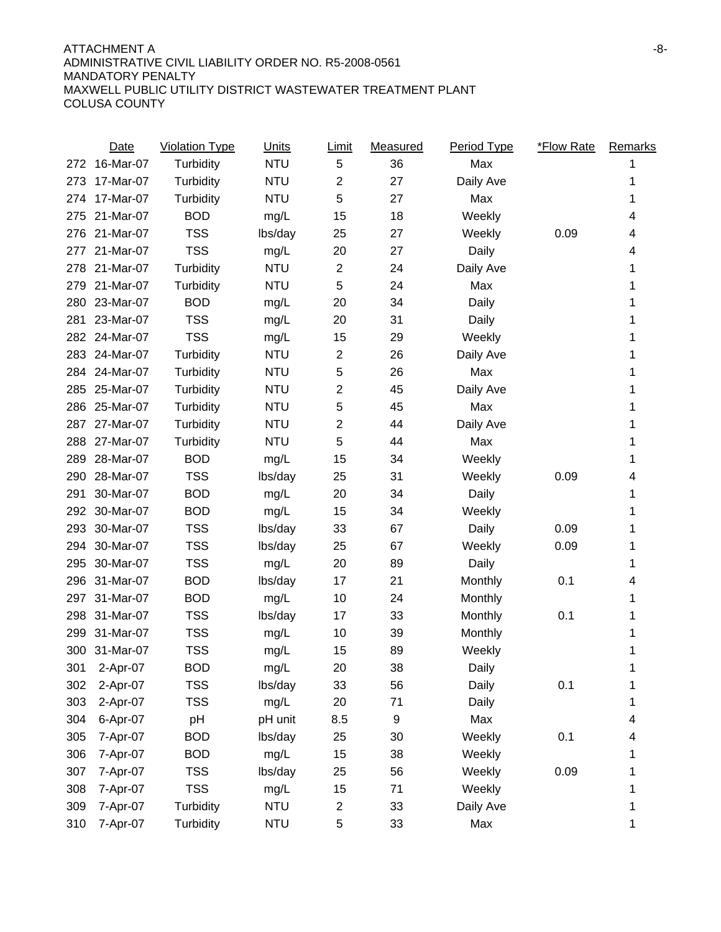|     | <b>Date</b> | <b>Violation Type</b> | <b>Units</b> | <u>Limit</u>   | Measured | Period Type | <b>*Flow Rate</b> | Remarks |
|-----|-------------|-----------------------|--------------|----------------|----------|-------------|-------------------|---------|
| 272 | 16-Mar-07   | Turbidity             | <b>NTU</b>   | 5              | 36       | Max         |                   |         |
| 273 | 17-Mar-07   | Turbidity             | <b>NTU</b>   | $\overline{2}$ | 27       | Daily Ave   |                   | 1       |
| 274 | 17-Mar-07   | Turbidity             | <b>NTU</b>   | 5              | 27       | Max         |                   | 1       |
| 275 | 21-Mar-07   | <b>BOD</b>            | mg/L         | 15             | 18       | Weekly      |                   | 4       |
| 276 | 21-Mar-07   | <b>TSS</b>            | lbs/day      | 25             | 27       | Weekly      | 0.09              | 4       |
| 277 | 21-Mar-07   | <b>TSS</b>            | mg/L         | 20             | 27       | Daily       |                   | 4       |
| 278 | 21-Mar-07   | Turbidity             | <b>NTU</b>   | $\mathbf{2}$   | 24       | Daily Ave   |                   | 1       |
| 279 | 21-Mar-07   | Turbidity             | <b>NTU</b>   | 5              | 24       | Max         |                   | 1       |
| 280 | 23-Mar-07   | <b>BOD</b>            | mg/L         | 20             | 34       | Daily       |                   | 1       |
| 281 | 23-Mar-07   | <b>TSS</b>            | mg/L         | 20             | 31       | Daily       |                   | 1       |
| 282 | 24-Mar-07   | <b>TSS</b>            | mg/L         | 15             | 29       | Weekly      |                   | 1       |
| 283 | 24-Mar-07   | Turbidity             | <b>NTU</b>   | $\overline{2}$ | 26       | Daily Ave   |                   | 1       |
| 284 | 24-Mar-07   | Turbidity             | <b>NTU</b>   | 5              | 26       | Max         |                   | 1       |
| 285 | 25-Mar-07   | Turbidity             | <b>NTU</b>   | $\overline{2}$ | 45       | Daily Ave   |                   | 1       |
| 286 | 25-Mar-07   | Turbidity             | <b>NTU</b>   | 5              | 45       | Max         |                   | 1       |
| 287 | 27-Mar-07   | Turbidity             | <b>NTU</b>   | $\overline{c}$ | 44       | Daily Ave   |                   | 1       |
| 288 | 27-Mar-07   | Turbidity             | <b>NTU</b>   | 5              | 44       | Max         |                   | 1       |
| 289 | 28-Mar-07   | <b>BOD</b>            | mg/L         | 15             | 34       | Weekly      |                   | 1       |
| 290 | 28-Mar-07   | <b>TSS</b>            | lbs/day      | 25             | 31       | Weekly      | 0.09              | 4       |
| 291 | 30-Mar-07   | <b>BOD</b>            | mg/L         | 20             | 34       | Daily       |                   | 1       |
| 292 | 30-Mar-07   | <b>BOD</b>            | mg/L         | 15             | 34       | Weekly      |                   | 1       |
| 293 | 30-Mar-07   | <b>TSS</b>            | lbs/day      | 33             | 67       | Daily       | 0.09              | 1       |
| 294 | 30-Mar-07   | <b>TSS</b>            | lbs/day      | 25             | 67       | Weekly      | 0.09              | 1       |
| 295 | 30-Mar-07   | <b>TSS</b>            | mg/L         | 20             | 89       | Daily       |                   | 1       |
| 296 | 31-Mar-07   | <b>BOD</b>            | lbs/day      | 17             | 21       | Monthly     | 0.1               | 4       |
| 297 | 31-Mar-07   | <b>BOD</b>            | mg/L         | 10             | 24       | Monthly     |                   | 1       |
| 298 | 31-Mar-07   | <b>TSS</b>            | lbs/day      | 17             | 33       | Monthly     | 0.1               | 1       |
| 299 | 31-Mar-07   | <b>TSS</b>            | mg/L         | 10             | 39       | Monthly     |                   | 1       |
| 300 | 31-Mar-07   | <b>TSS</b>            | mg/L         | 15             | 89       | Weekly      |                   | 1       |
| 301 | 2-Apr-07    | <b>BOD</b>            | mg/L         | 20             | 38       | Daily       |                   | 1       |
| 302 | 2-Apr-07    | <b>TSS</b>            | lbs/day      | 33             | 56       | Daily       | 0.1               | 1       |
| 303 | 2-Apr-07    | <b>TSS</b>            | mg/L         | 20             | 71       | Daily       |                   | 1       |
| 304 | 6-Apr-07    | pH                    | pH unit      | 8.5            | 9        | Max         |                   | 4       |
| 305 | 7-Apr-07    | <b>BOD</b>            | lbs/day      | 25             | 30       | Weekly      | 0.1               | 4       |
| 306 | 7-Apr-07    | <b>BOD</b>            | mg/L         | 15             | 38       | Weekly      |                   |         |
| 307 | 7-Apr-07    | <b>TSS</b>            | lbs/day      | 25             | 56       | Weekly      | 0.09              | 1       |
| 308 | 7-Apr-07    | <b>TSS</b>            | mg/L         | 15             | 71       | Weekly      |                   | 1       |
| 309 | 7-Apr-07    | Turbidity             | <b>NTU</b>   | $\overline{c}$ | 33       | Daily Ave   |                   | 1       |
| 310 | 7-Apr-07    | Turbidity             | <b>NTU</b>   | 5              | 33       | Max         |                   | 1       |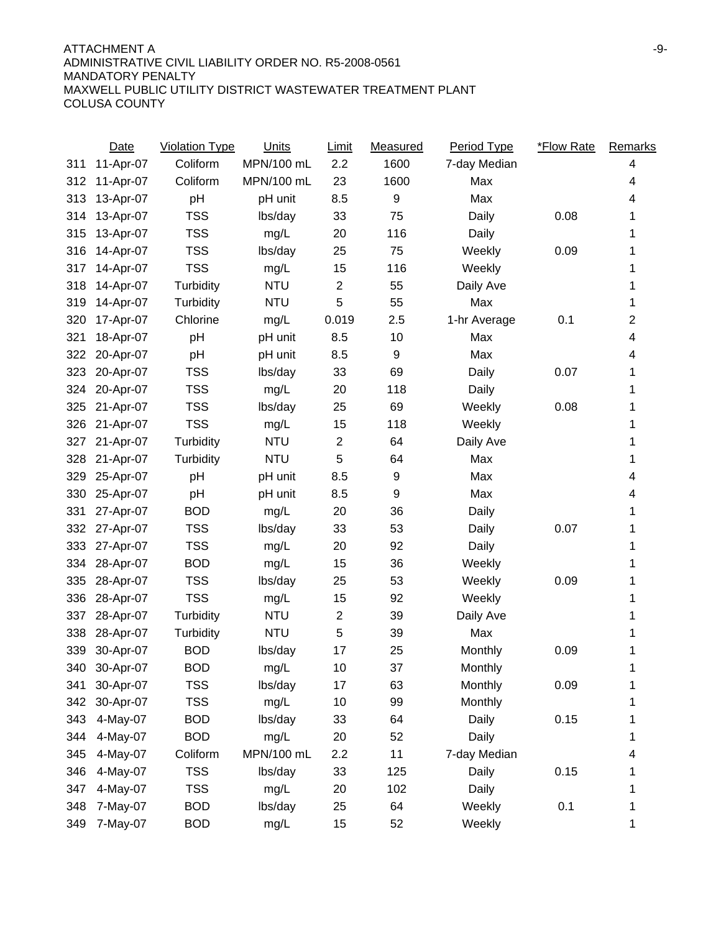### ATTACHMENT A FINAL AND A SERIES AND A SERIES AND A SERIES AND A SERIES AND ASSESSMENT A FINAL ASSESSMENT ASSESSMENT ASSESSMENT ASSESSMENT ASSESSMENT ASSESSMENT ASSESSMENT ASSESSMENT ASSESSMENT ASSESSMENT ASSESSMENT ASSESSM ADMINISTRATIVE CIVIL LIABILITY ORDER NO. R5-2008-0561 MANDATORY PENALTY MAXWELL PUBLIC UTILITY DISTRICT WASTEWATER TREATMENT PLANT COLUSA COUNTY

|     | Date      | <b>Violation Type</b> | <b>Units</b> | <u>Limit</u>   | Measured | Period Type    | *Flow Rate | <b>Remarks</b> |
|-----|-----------|-----------------------|--------------|----------------|----------|----------------|------------|----------------|
| 311 | 11-Apr-07 | Coliform              | MPN/100 mL   | 2.2            | 1600     | 7-day Median   |            | 4              |
| 312 | 11-Apr-07 | Coliform              | MPN/100 mL   | 23             | 1600     | Max            |            | 4              |
| 313 | 13-Apr-07 | pH                    | pH unit      | 8.5            | 9        | Max            |            | 4              |
| 314 | 13-Apr-07 | <b>TSS</b>            | lbs/day      | 33             | 75       | Daily          | 0.08       | 1              |
| 315 | 13-Apr-07 | <b>TSS</b>            | mg/L         | 20             | 116      | Daily          |            | 1              |
| 316 | 14-Apr-07 | <b>TSS</b>            | lbs/day      | 25             | 75       | Weekly         | 0.09       | 1              |
| 317 | 14-Apr-07 | <b>TSS</b>            | mg/L         | 15             | 116      | Weekly         |            | 1              |
| 318 | 14-Apr-07 | Turbidity             | <b>NTU</b>   | $\overline{2}$ | 55       | Daily Ave      |            | 1              |
| 319 | 14-Apr-07 | Turbidity             | <b>NTU</b>   | 5              | 55       | Max            |            | 1              |
| 320 | 17-Apr-07 | Chlorine              | mg/L         | 0.019          | 2.5      | 1-hr Average   | 0.1        | 2              |
| 321 | 18-Apr-07 | pH                    | pH unit      | 8.5            | 10       | Max            |            | 4              |
| 322 | 20-Apr-07 | pH                    | pH unit      | 8.5            | 9        | Max            |            | 4              |
| 323 | 20-Apr-07 | <b>TSS</b>            | lbs/day      | 33             | 69       | Daily          | 0.07       | 1              |
| 324 | 20-Apr-07 | <b>TSS</b>            | mg/L         | 20             | 118      | Daily          |            | 1              |
| 325 | 21-Apr-07 | <b>TSS</b>            | lbs/day      | 25             | 69       | Weekly         | 0.08       | 1              |
| 326 | 21-Apr-07 | <b>TSS</b>            | mg/L         | 15             | 118      | Weekly         |            | 1              |
| 327 | 21-Apr-07 | Turbidity             | <b>NTU</b>   | $\mathbf 2$    | 64       | Daily Ave      |            | 1              |
| 328 | 21-Apr-07 | Turbidity             | <b>NTU</b>   | 5              | 64       | Max            |            | 1              |
| 329 | 25-Apr-07 | pH                    | pH unit      | 8.5            | 9        | Max            |            | 4              |
| 330 | 25-Apr-07 | pH                    | pH unit      | 8.5            | 9        | Max            |            | 4              |
| 331 | 27-Apr-07 | <b>BOD</b>            | mg/L         | 20             | 36       | Daily          |            | 1              |
| 332 | 27-Apr-07 | <b>TSS</b>            | lbs/day      | 33             | 53       | Daily          | 0.07       | 1              |
| 333 | 27-Apr-07 | <b>TSS</b>            | mg/L         | 20             | 92       | Daily          |            | 1              |
| 334 | 28-Apr-07 | <b>BOD</b>            | mg/L         | 15             | 36       | Weekly         |            | 1              |
| 335 | 28-Apr-07 | <b>TSS</b>            | lbs/day      | 25             | 53       | Weekly         | 0.09       | 1              |
| 336 | 28-Apr-07 | <b>TSS</b>            | mg/L         | 15             | 92       | Weekly         |            | 1              |
| 337 | 28-Apr-07 | Turbidity             | <b>NTU</b>   | $\overline{2}$ | 39       | Daily Ave      |            | 1              |
| 338 | 28-Apr-07 | Turbidity             | <b>NTU</b>   | 5              | 39       | Max            |            | 1              |
| 339 | 30-Apr-07 | <b>BOD</b>            | lbs/day      | 17             | 25       | Monthly        | 0.09       | 1              |
| 340 | 30-Apr-07 | <b>BOD</b>            | mg/L         | 10             | 37       | <b>Monthly</b> |            | 1              |
| 341 | 30-Apr-07 | <b>TSS</b>            | lbs/day      | 17             | 63       | Monthly        | 0.09       | 1              |
| 342 | 30-Apr-07 | <b>TSS</b>            | mg/L         | 10             | 99       | Monthly        |            | 1              |
| 343 | 4-May-07  | <b>BOD</b>            | lbs/day      | 33             | 64       | Daily          | 0.15       | 1              |
| 344 | 4-May-07  | <b>BOD</b>            | mg/L         | 20             | 52       | Daily          |            | 1              |
| 345 | 4-May-07  | Coliform              | MPN/100 mL   | 2.2            | 11       | 7-day Median   |            | 4              |
| 346 | 4-May-07  | <b>TSS</b>            | lbs/day      | 33             | 125      | Daily          | 0.15       | 1              |
| 347 | 4-May-07  | <b>TSS</b>            | mg/L         | 20             | 102      | Daily          |            | 1              |
| 348 | 7-May-07  | <b>BOD</b>            | lbs/day      | 25             | 64       | Weekly         | 0.1        | 1              |
| 349 | 7-May-07  | <b>BOD</b>            | mg/L         | 15             | 52       | Weekly         |            | 1              |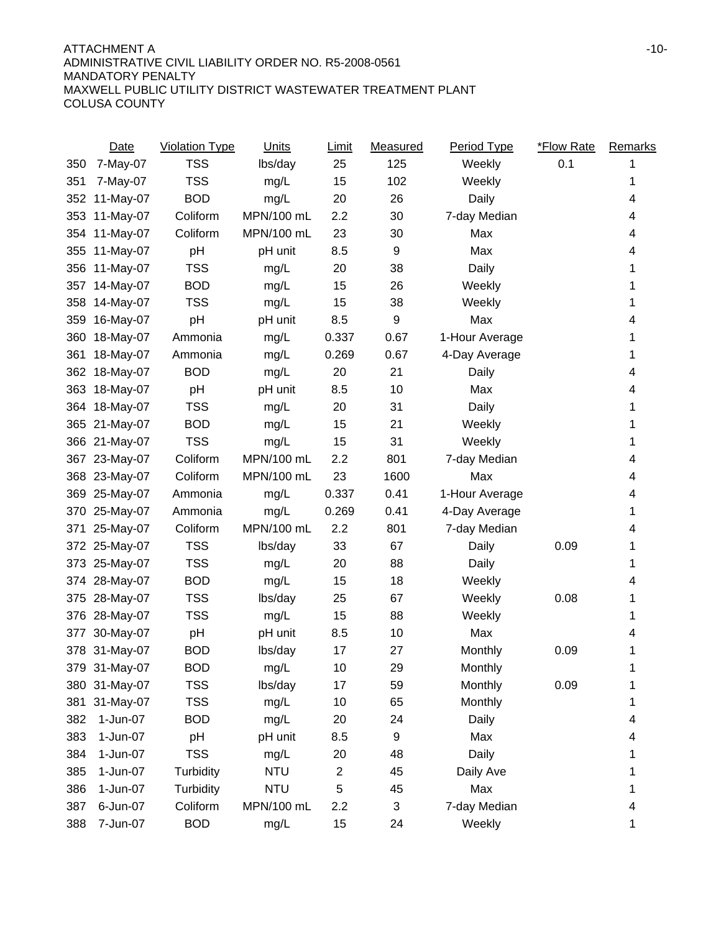|     | Date          | <b>Violation Type</b> | Units      | <b>Limit</b>            | Measured | Period Type    | <b>*Flow Rate</b> | Remarks |
|-----|---------------|-----------------------|------------|-------------------------|----------|----------------|-------------------|---------|
| 350 | 7-May-07      | <b>TSS</b>            | lbs/day    | 25                      | 125      | Weekly         | 0.1               |         |
| 351 | 7-May-07      | <b>TSS</b>            | mg/L       | 15                      | 102      | Weekly         |                   | 1       |
| 352 | 11-May-07     | <b>BOD</b>            | mg/L       | 20                      | 26       | Daily          |                   | 4       |
| 353 | 11-May-07     | Coliform              | MPN/100 mL | 2.2                     | 30       | 7-day Median   |                   | 4       |
| 354 | 11-May-07     | Coliform              | MPN/100 mL | 23                      | 30       | Max            |                   | 4       |
| 355 | 11-May-07     | pH                    | pH unit    | 8.5                     | 9        | Max            |                   | 4       |
| 356 | 11-May-07     | <b>TSS</b>            | mg/L       | 20                      | 38       | Daily          |                   | 1       |
| 357 | 14-May-07     | <b>BOD</b>            | mg/L       | 15                      | 26       | Weekly         |                   | 1       |
| 358 | 14-May-07     | <b>TSS</b>            | mg/L       | 15                      | 38       | Weekly         |                   | 1       |
| 359 | 16-May-07     | pH                    | pH unit    | 8.5                     | 9        | Max            |                   | 4       |
| 360 | 18-May-07     | Ammonia               | mg/L       | 0.337                   | 0.67     | 1-Hour Average |                   | 1       |
| 361 | 18-May-07     | Ammonia               | mg/L       | 0.269                   | 0.67     | 4-Day Average  |                   | 1       |
| 362 | 18-May-07     | <b>BOD</b>            | mg/L       | 20                      | 21       | Daily          |                   | 4       |
| 363 | 18-May-07     | pH                    | pH unit    | 8.5                     | 10       | Max            |                   | 4       |
| 364 | 18-May-07     | <b>TSS</b>            | mg/L       | 20                      | 31       | Daily          |                   | 1       |
| 365 | 21-May-07     | <b>BOD</b>            | mg/L       | 15                      | 21       | Weekly         |                   | 1       |
|     | 366 21-May-07 | <b>TSS</b>            | mg/L       | 15                      | 31       | Weekly         |                   | 1       |
| 367 | 23-May-07     | Coliform              | MPN/100 mL | 2.2                     | 801      | 7-day Median   |                   | 4       |
|     | 368 23-May-07 | Coliform              | MPN/100 mL | 23                      | 1600     | Max            |                   | 4       |
|     | 369 25-May-07 | Ammonia               | mg/L       | 0.337                   | 0.41     | 1-Hour Average |                   | 4       |
| 370 | 25-May-07     | Ammonia               | mg/L       | 0.269                   | 0.41     | 4-Day Average  |                   | 1       |
| 371 | 25-May-07     | Coliform              | MPN/100 mL | 2.2                     | 801      | 7-day Median   |                   | 4       |
| 372 | 25-May-07     | <b>TSS</b>            | lbs/day    | 33                      | 67       | Daily          | 0.09              | 1       |
| 373 | 25-May-07     | <b>TSS</b>            | mg/L       | 20                      | 88       | Daily          |                   | 1       |
| 374 | 28-May-07     | <b>BOD</b>            | mg/L       | 15                      | 18       | Weekly         |                   | 4       |
| 375 | 28-May-07     | <b>TSS</b>            | lbs/day    | 25                      | 67       | Weekly         | 0.08              | 1       |
| 376 | 28-May-07     | <b>TSS</b>            | mg/L       | 15                      | 88       | Weekly         |                   | 1       |
| 377 | 30-May-07     | pH                    | pH unit    | 8.5                     | 10       | Max            |                   | 4       |
|     | 378 31-May-07 | <b>BOD</b>            | lbs/day    | 17                      | 27       | Monthly        | 0.09              | 1       |
|     | 379 31-May-07 | <b>BOD</b>            | mg/L       | 10                      | 29       | Monthly        |                   | 1       |
|     | 380 31-May-07 | <b>TSS</b>            | lbs/day    | 17                      | 59       | Monthly        | 0.09              | 1       |
| 381 | 31-May-07     | <b>TSS</b>            | mg/L       | 10                      | 65       | Monthly        |                   | 1       |
| 382 | 1-Jun-07      | <b>BOD</b>            | mg/L       | 20                      | 24       | Daily          |                   | 4       |
| 383 | 1-Jun-07      | pH                    | pH unit    | 8.5                     | 9        | Max            |                   | 4       |
| 384 | 1-Jun-07      | <b>TSS</b>            | mg/L       | 20                      | 48       | Daily          |                   |         |
| 385 | 1-Jun-07      | Turbidity             | <b>NTU</b> | $\overline{\mathbf{c}}$ | 45       | Daily Ave      |                   | 1       |
| 386 | 1-Jun-07      | Turbidity             | <b>NTU</b> | 5                       | 45       | Max            |                   | 1       |
| 387 | 6-Jun-07      | Coliform              | MPN/100 mL | 2.2                     | 3        | 7-day Median   |                   | 4       |
| 388 | 7-Jun-07      | <b>BOD</b>            | mg/L       | 15                      | 24       | Weekly         |                   | 1       |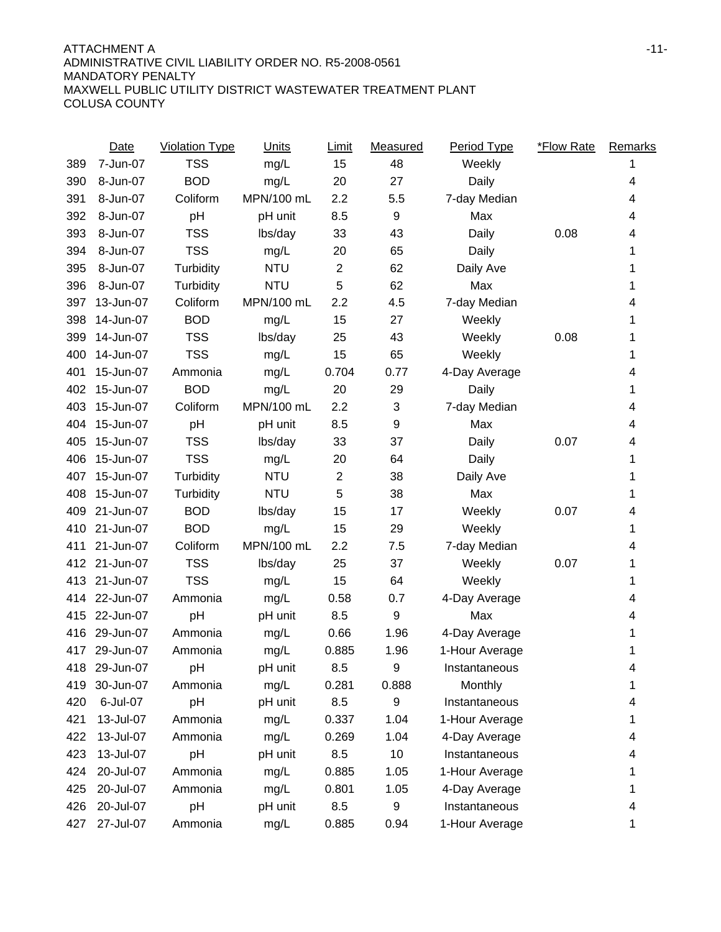|     | Date          | <b>Violation Type</b> | <b>Units</b> | <b>Limit</b>   | Measured | Period Type    | <b>*Flow Rate</b> | <b>Remarks</b> |
|-----|---------------|-----------------------|--------------|----------------|----------|----------------|-------------------|----------------|
| 389 | 7-Jun-07      | <b>TSS</b>            | mg/L         | 15             | 48       | Weekly         |                   |                |
| 390 | 8-Jun-07      | <b>BOD</b>            | mg/L         | 20             | 27       | Daily          |                   | 4              |
| 391 | 8-Jun-07      | Coliform              | MPN/100 mL   | 2.2            | 5.5      | 7-day Median   |                   | 4              |
| 392 | 8-Jun-07      | pH                    | pH unit      | 8.5            | 9        | Max            |                   | 4              |
| 393 | 8-Jun-07      | <b>TSS</b>            | lbs/day      | 33             | 43       | Daily          | 0.08              | 4              |
| 394 | 8-Jun-07      | <b>TSS</b>            | mg/L         | 20             | 65       | Daily          |                   | 1              |
| 395 | 8-Jun-07      | Turbidity             | <b>NTU</b>   | $\overline{2}$ | 62       | Daily Ave      |                   | 1              |
| 396 | 8-Jun-07      | Turbidity             | <b>NTU</b>   | 5              | 62       | Max            |                   | 1              |
| 397 | 13-Jun-07     | Coliform              | MPN/100 mL   | 2.2            | 4.5      | 7-day Median   |                   | 4              |
| 398 | 14-Jun-07     | <b>BOD</b>            | mg/L         | 15             | 27       | Weekly         |                   | 1              |
| 399 | 14-Jun-07     | <b>TSS</b>            | lbs/day      | 25             | 43       | Weekly         | 0.08              | 1              |
| 400 | 14-Jun-07     | <b>TSS</b>            | mg/L         | 15             | 65       | Weekly         |                   | 1              |
| 401 | 15-Jun-07     | Ammonia               | mg/L         | 0.704          | 0.77     | 4-Day Average  |                   | 4              |
| 402 | 15-Jun-07     | <b>BOD</b>            | mg/L         | 20             | 29       | Daily          |                   | 1              |
| 403 | 15-Jun-07     | Coliform              | MPN/100 mL   | 2.2            | 3        | 7-day Median   |                   | 4              |
| 404 | 15-Jun-07     | pH                    | pH unit      | 8.5            | 9        | Max            |                   | 4              |
| 405 | 15-Jun-07     | <b>TSS</b>            | lbs/day      | 33             | 37       | Daily          | 0.07              | 4              |
| 406 | 15-Jun-07     | <b>TSS</b>            | mg/L         | 20             | 64       | Daily          |                   | 1              |
| 407 | 15-Jun-07     | Turbidity             | <b>NTU</b>   | $\overline{c}$ | 38       | Daily Ave      |                   | 1              |
| 408 | 15-Jun-07     | Turbidity             | <b>NTU</b>   | 5              | 38       | Max            |                   | 1              |
| 409 | 21-Jun-07     | <b>BOD</b>            | lbs/day      | 15             | 17       | Weekly         | 0.07              | 4              |
| 410 | 21-Jun-07     | <b>BOD</b>            | mg/L         | 15             | 29       | Weekly         |                   | 1              |
| 411 | 21-Jun-07     | Coliform              | MPN/100 mL   | 2.2            | 7.5      | 7-day Median   |                   | 4              |
| 412 | 21-Jun-07     | <b>TSS</b>            | lbs/day      | 25             | 37       | Weekly         | 0.07              | 1              |
| 413 | 21-Jun-07     | <b>TSS</b>            | mg/L         | 15             | 64       | Weekly         |                   | 1              |
| 414 | 22-Jun-07     | Ammonia               | mg/L         | 0.58           | 0.7      | 4-Day Average  |                   | 4              |
| 415 | 22-Jun-07     | pH                    | pH unit      | 8.5            | 9        | Max            |                   | 4              |
| 416 | 29-Jun-07     | Ammonia               | mg/L         | 0.66           | 1.96     | 4-Day Average  |                   | 1              |
| 417 | 29-Jun-07     | Ammonia               | mg/L         | 0.885          | 1.96     | 1-Hour Average |                   | 1              |
|     | 418 29-Jun-07 | pH                    | pH unit      | 8.5            | 9        | Instantaneous  |                   | 4              |
| 419 | 30-Jun-07     | Ammonia               | mg/L         | 0.281          | 0.888    | Monthly        |                   | 1              |
| 420 | 6-Jul-07      | pH                    | pH unit      | 8.5            | 9        | Instantaneous  |                   | 4              |
| 421 | 13-Jul-07     | Ammonia               | mg/L         | 0.337          | 1.04     | 1-Hour Average |                   | 1              |
| 422 | 13-Jul-07     | Ammonia               | mg/L         | 0.269          | 1.04     | 4-Day Average  |                   | 4              |
| 423 | 13-Jul-07     | pH                    | pH unit      | 8.5            | 10       | Instantaneous  |                   | 4              |
| 424 | 20-Jul-07     | Ammonia               | mg/L         | 0.885          | 1.05     | 1-Hour Average |                   |                |
| 425 | 20-Jul-07     | Ammonia               | mg/L         | 0.801          | 1.05     | 4-Day Average  |                   | 1              |
| 426 | 20-Jul-07     | pH                    | pH unit      | 8.5            | 9        | Instantaneous  |                   | 4              |
| 427 | 27-Jul-07     | Ammonia               | mg/L         | 0.885          | 0.94     | 1-Hour Average |                   | 1              |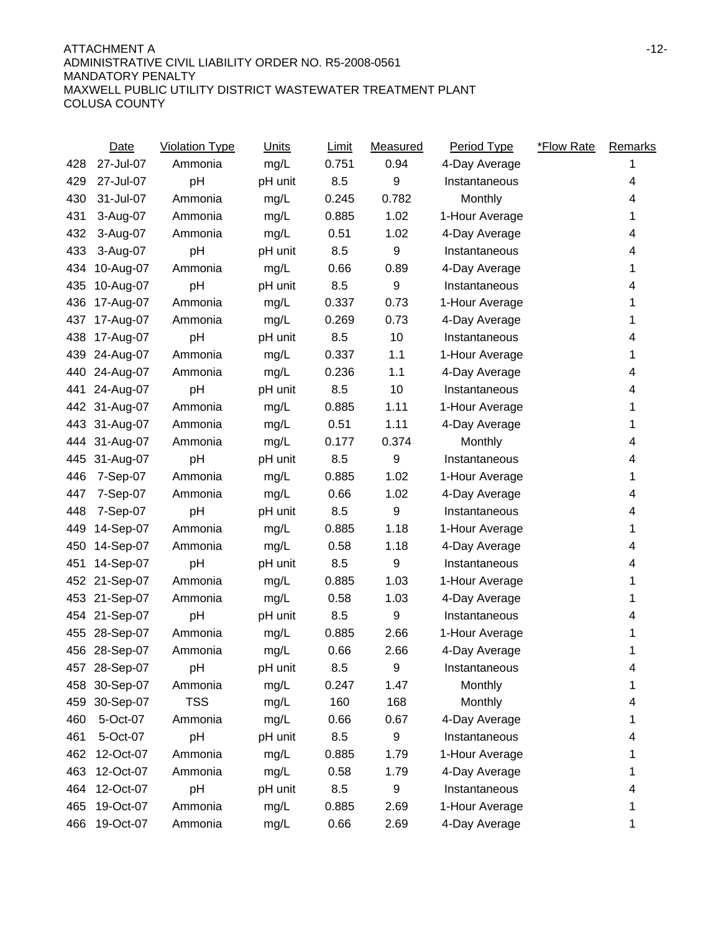|     | Date          | <b>Violation Type</b> | <b>Units</b> | <b>Limit</b> | Measured    | Period Type    | <b>*Flow Rate</b> | Remarks |
|-----|---------------|-----------------------|--------------|--------------|-------------|----------------|-------------------|---------|
| 428 | 27-Jul-07     | Ammonia               | mg/L         | 0.751        | 0.94        | 4-Day Average  |                   |         |
| 429 | 27-Jul-07     | pH                    | pH unit      | 8.5          | 9           | Instantaneous  |                   | 4       |
| 430 | 31-Jul-07     | Ammonia               | mg/L         | 0.245        | 0.782       | Monthly        |                   | 4       |
| 431 | 3-Aug-07      | Ammonia               | mg/L         | 0.885        | 1.02        | 1-Hour Average |                   | 1       |
| 432 | 3-Aug-07      | Ammonia               | mg/L         | 0.51         | 1.02        | 4-Day Average  |                   | 4       |
| 433 | 3-Aug-07      | pH                    | pH unit      | 8.5          | 9           | Instantaneous  |                   | 4       |
| 434 | 10-Aug-07     | Ammonia               | mg/L         | 0.66         | 0.89        | 4-Day Average  |                   | 1       |
| 435 | 10-Aug-07     | pH                    | pH unit      | 8.5          | 9           | Instantaneous  |                   | 4       |
| 436 | 17-Aug-07     | Ammonia               | mg/L         | 0.337        | 0.73        | 1-Hour Average |                   | 1       |
| 437 | 17-Aug-07     | Ammonia               | mg/L         | 0.269        | 0.73        | 4-Day Average  |                   | 1       |
| 438 | 17-Aug-07     | pH                    | pH unit      | 8.5          | 10          | Instantaneous  |                   | 4       |
| 439 | 24-Aug-07     | Ammonia               | mg/L         | 0.337        | 1.1         | 1-Hour Average |                   | 1       |
| 440 | 24-Aug-07     | Ammonia               | mg/L         | 0.236        | 1.1         | 4-Day Average  |                   | 4       |
| 441 | 24-Aug-07     | pH                    | pH unit      | 8.5          | 10          | Instantaneous  |                   | 4       |
| 442 | 31-Aug-07     | Ammonia               | mg/L         | 0.885        | 1.11        | 1-Hour Average |                   | 1       |
| 443 | 31-Aug-07     | Ammonia               | mg/L         | 0.51         | 1.11        | 4-Day Average  |                   | 1       |
| 444 | 31-Aug-07     | Ammonia               | mg/L         | 0.177        | 0.374       | Monthly        |                   | 4       |
| 445 | 31-Aug-07     | pH                    | pH unit      | 8.5          | $\mathsf g$ | Instantaneous  |                   | 4       |
| 446 | 7-Sep-07      | Ammonia               | mg/L         | 0.885        | 1.02        | 1-Hour Average |                   | 1       |
| 447 | 7-Sep-07      | Ammonia               | mg/L         | 0.66         | 1.02        | 4-Day Average  |                   | 4       |
| 448 | 7-Sep-07      | pH                    | pH unit      | 8.5          | 9           | Instantaneous  |                   | 4       |
| 449 | 14-Sep-07     | Ammonia               | mg/L         | 0.885        | 1.18        | 1-Hour Average |                   | 1       |
| 450 | 14-Sep-07     | Ammonia               | mg/L         | 0.58         | 1.18        | 4-Day Average  |                   | 4       |
| 451 | 14-Sep-07     | pH                    | pH unit      | 8.5          | 9           | Instantaneous  |                   | 4       |
| 452 | 21-Sep-07     | Ammonia               | mg/L         | 0.885        | 1.03        | 1-Hour Average |                   | 1       |
| 453 | 21-Sep-07     | Ammonia               | mg/L         | 0.58         | 1.03        | 4-Day Average  |                   | 1       |
| 454 | 21-Sep-07     | pH                    | pH unit      | 8.5          | 9           | Instantaneous  |                   | 4       |
| 455 | 28-Sep-07     | Ammonia               | mg/L         | 0.885        | 2.66        | 1-Hour Average |                   | 1       |
|     | 456 28-Sep-07 | Ammonia               | mg/L         | 0.66         | 2.66        | 4-Day Average  |                   | 1       |
|     | 457 28-Sep-07 | pH                    | pH unit      | 8.5          | 9           | Instantaneous  |                   | 4       |
|     | 458 30-Sep-07 | Ammonia               | mg/L         | 0.247        | 1.47        | Monthly        |                   | 1       |
| 459 | 30-Sep-07     | <b>TSS</b>            | mg/L         | 160          | 168         | Monthly        |                   | 4       |
| 460 | 5-Oct-07      | Ammonia               | mg/L         | 0.66         | 0.67        | 4-Day Average  |                   |         |
| 461 | 5-Oct-07      | pH                    | pH unit      | 8.5          | 9           | Instantaneous  |                   |         |
| 462 | 12-Oct-07     | Ammonia               | mg/L         | 0.885        | 1.79        | 1-Hour Average |                   |         |
| 463 | 12-Oct-07     | Ammonia               | mg/L         | 0.58         | 1.79        | 4-Day Average  |                   |         |
| 464 | 12-Oct-07     | pH                    | pH unit      | 8.5          | 9           | Instantaneous  |                   |         |
| 465 | 19-Oct-07     | Ammonia               | mg/L         | 0.885        | 2.69        | 1-Hour Average |                   |         |
| 466 | 19-Oct-07     | Ammonia               | mg/L         | 0.66         | 2.69        | 4-Day Average  |                   | 1       |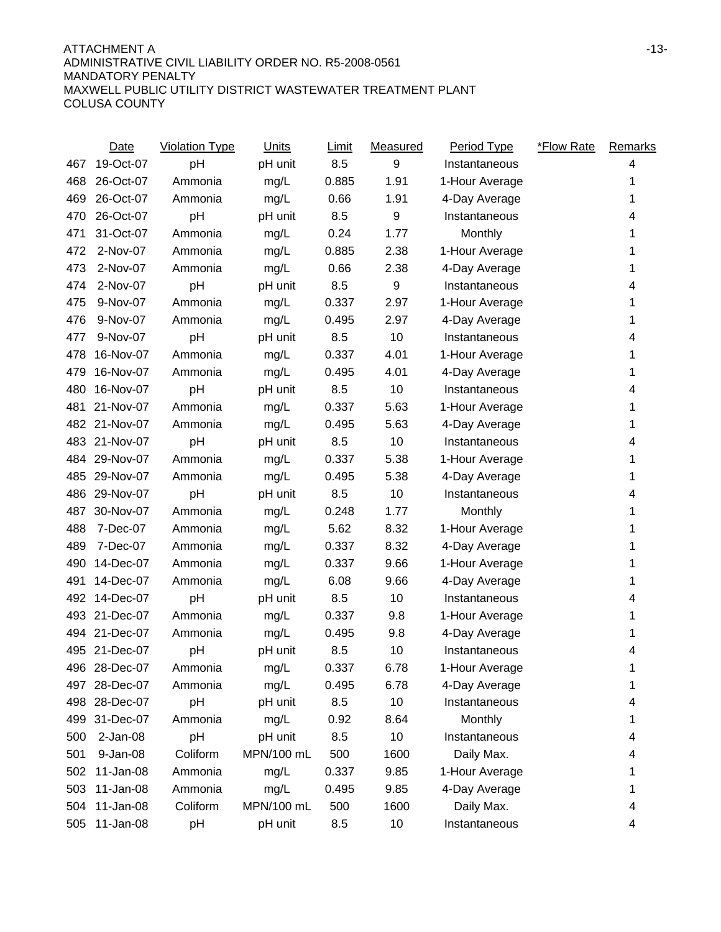|     | <b>Date</b>   | <b>Violation Type</b> | <b>Units</b> | <b>Limit</b> | <b>Measured</b> | Period Type    | <b>*Flow Rate</b> | <b>Remarks</b> |
|-----|---------------|-----------------------|--------------|--------------|-----------------|----------------|-------------------|----------------|
| 467 | 19-Oct-07     | pH                    | pH unit      | 8.5          | 9               | Instantaneous  |                   | 4              |
| 468 | 26-Oct-07     | Ammonia               | mg/L         | 0.885        | 1.91            | 1-Hour Average |                   | 1              |
| 469 | 26-Oct-07     | Ammonia               | mg/L         | 0.66         | 1.91            | 4-Day Average  |                   | 1              |
| 470 | 26-Oct-07     | pH                    | pH unit      | 8.5          | 9               | Instantaneous  |                   | 4              |
| 471 | 31-Oct-07     | Ammonia               | mg/L         | 0.24         | 1.77            | Monthly        |                   | 1              |
| 472 | 2-Nov-07      | Ammonia               | mg/L         | 0.885        | 2.38            | 1-Hour Average |                   | 1              |
| 473 | 2-Nov-07      | Ammonia               | mg/L         | 0.66         | 2.38            | 4-Day Average  |                   | 1              |
| 474 | 2-Nov-07      | pH                    | pH unit      | 8.5          | 9               | Instantaneous  |                   | 4              |
| 475 | 9-Nov-07      | Ammonia               | mg/L         | 0.337        | 2.97            | 1-Hour Average |                   | 1              |
| 476 | 9-Nov-07      | Ammonia               | mg/L         | 0.495        | 2.97            | 4-Day Average  |                   | 1              |
| 477 | 9-Nov-07      | pH                    | pH unit      | 8.5          | 10              | Instantaneous  |                   | 4              |
| 478 | 16-Nov-07     | Ammonia               | mg/L         | 0.337        | 4.01            | 1-Hour Average |                   | 1              |
| 479 | 16-Nov-07     | Ammonia               | mg/L         | 0.495        | 4.01            | 4-Day Average  |                   | 1              |
| 480 | 16-Nov-07     | pH                    | pH unit      | 8.5          | 10              | Instantaneous  |                   | 4              |
| 481 | 21-Nov-07     | Ammonia               | mg/L         | 0.337        | 5.63            | 1-Hour Average |                   |                |
| 482 | 21-Nov-07     | Ammonia               | mg/L         | 0.495        | 5.63            | 4-Day Average  |                   | 1              |
| 483 | 21-Nov-07     | pH                    | pH unit      | 8.5          | 10              | Instantaneous  |                   | 4              |
| 484 | 29-Nov-07     | Ammonia               | mg/L         | 0.337        | 5.38            | 1-Hour Average |                   | 1              |
| 485 | 29-Nov-07     | Ammonia               | mg/L         | 0.495        | 5.38            | 4-Day Average  |                   | 1              |
| 486 | 29-Nov-07     | pH                    | pH unit      | 8.5          | 10              | Instantaneous  |                   | 4              |
| 487 | 30-Nov-07     | Ammonia               | mg/L         | 0.248        | 1.77            | Monthly        |                   | 1              |
| 488 | 7-Dec-07      | Ammonia               | mg/L         | 5.62         | 8.32            | 1-Hour Average |                   |                |
| 489 | 7-Dec-07      | Ammonia               | mg/L         | 0.337        | 8.32            | 4-Day Average  |                   | 1              |
| 490 | 14-Dec-07     | Ammonia               | mg/L         | 0.337        | 9.66            | 1-Hour Average |                   |                |
| 491 | 14-Dec-07     | Ammonia               | mg/L         | 6.08         | 9.66            | 4-Day Average  |                   | 1              |
|     | 492 14-Dec-07 | pH                    | pH unit      | 8.5          | 10              | Instantaneous  |                   | 4              |
| 493 | 21-Dec-07     | Ammonia               | mg/L         | 0.337        | 9.8             | 1-Hour Average |                   | 1              |
| 494 | 21-Dec-07     | Ammonia               | mg/L         | 0.495        | 9.8             | 4-Day Average  |                   | 1              |
|     | 495 21-Dec-07 | pH                    | pH unit      | 8.5          | 10              | Instantaneous  |                   | 4              |
|     | 496 28-Dec-07 | Ammonia               | mg/L         | 0.337        | 6.78            | 1-Hour Average |                   | 1              |
|     | 497 28-Dec-07 | Ammonia               | mg/L         | 0.495        | 6.78            | 4-Day Average  |                   | 1              |
| 498 | 28-Dec-07     | pH                    | pH unit      | 8.5          | 10              | Instantaneous  |                   | 4              |
| 499 | 31-Dec-07     | Ammonia               | mg/L         | 0.92         | 8.64            | Monthly        |                   |                |
| 500 | $2-Jan-08$    | pH                    | pH unit      | 8.5          | 10              | Instantaneous  |                   | 4              |
| 501 | 9-Jan-08      | Coliform              | MPN/100 mL   | 500          | 1600            | Daily Max.     |                   | 4              |
| 502 | 11-Jan-08     | Ammonia               | mg/L         | 0.337        | 9.85            | 1-Hour Average |                   | 1              |
| 503 | 11-Jan-08     | Ammonia               | mg/L         | 0.495        | 9.85            | 4-Day Average  |                   |                |
| 504 | 11-Jan-08     | Coliform              | MPN/100 mL   | 500          | 1600            | Daily Max.     |                   | 4              |
| 505 | 11-Jan-08     | pH                    | pH unit      | 8.5          | 10              | Instantaneous  |                   | 4              |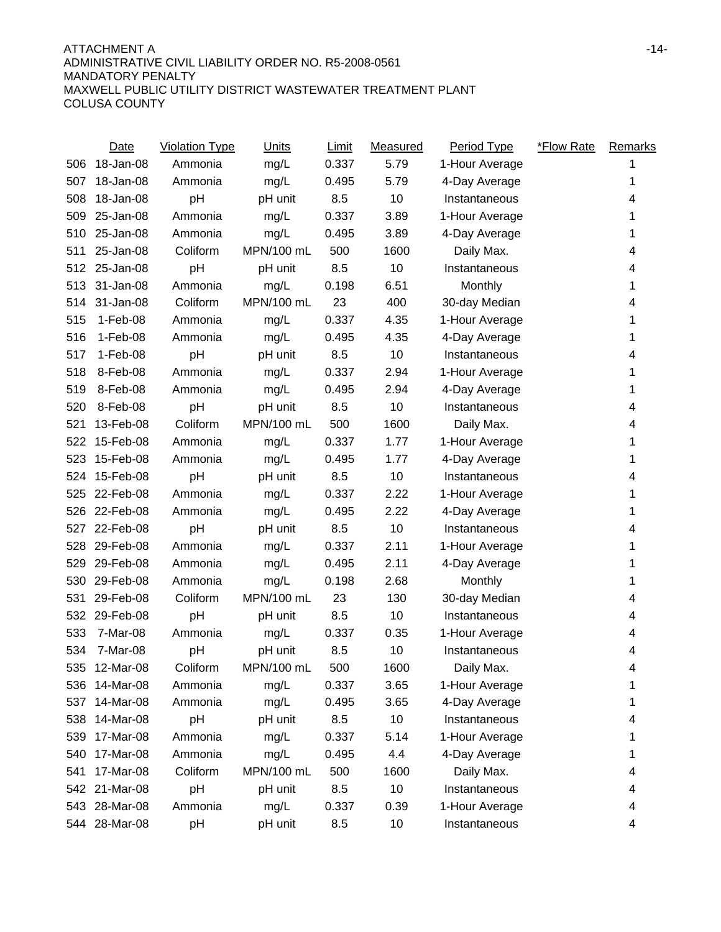|     | <b>Date</b>   | <b>Violation Type</b> | <b>Units</b> | <b>Limit</b> | Measured | <b>Period Type</b> | <b>*Flow Rate</b> | <b>Remarks</b> |
|-----|---------------|-----------------------|--------------|--------------|----------|--------------------|-------------------|----------------|
| 506 | 18-Jan-08     | Ammonia               | mg/L         | 0.337        | 5.79     | 1-Hour Average     |                   |                |
| 507 | 18-Jan-08     | Ammonia               | mg/L         | 0.495        | 5.79     | 4-Day Average      |                   | 1              |
| 508 | 18-Jan-08     | pH                    | pH unit      | 8.5          | 10       | Instantaneous      |                   | 4              |
| 509 | 25-Jan-08     | Ammonia               | mg/L         | 0.337        | 3.89     | 1-Hour Average     |                   |                |
| 510 | 25-Jan-08     | Ammonia               | mg/L         | 0.495        | 3.89     | 4-Day Average      |                   | 1              |
| 511 | 25-Jan-08     | Coliform              | MPN/100 mL   | 500          | 1600     | Daily Max.         |                   | 4              |
| 512 | 25-Jan-08     | pH                    | pH unit      | 8.5          | 10       | Instantaneous      |                   | 4              |
| 513 | 31-Jan-08     | Ammonia               | mg/L         | 0.198        | 6.51     | Monthly            |                   | 1              |
| 514 | 31-Jan-08     | Coliform              | MPN/100 mL   | 23           | 400      | 30-day Median      |                   | 4              |
| 515 | 1-Feb-08      | Ammonia               | mg/L         | 0.337        | 4.35     | 1-Hour Average     |                   | 1              |
| 516 | $1-Feb-08$    | Ammonia               | mg/L         | 0.495        | 4.35     | 4-Day Average      |                   | 1              |
| 517 | $1-Feb-08$    | pH                    | pH unit      | 8.5          | 10       | Instantaneous      |                   | 4              |
| 518 | 8-Feb-08      | Ammonia               | mg/L         | 0.337        | 2.94     | 1-Hour Average     |                   | 1              |
| 519 | 8-Feb-08      | Ammonia               | mg/L         | 0.495        | 2.94     | 4-Day Average      |                   | 1              |
| 520 | 8-Feb-08      | pH                    | pH unit      | 8.5          | 10       | Instantaneous      |                   | 4              |
| 521 | 13-Feb-08     | Coliform              | MPN/100 mL   | 500          | 1600     | Daily Max.         |                   | 4              |
| 522 | 15-Feb-08     | Ammonia               | mg/L         | 0.337        | 1.77     | 1-Hour Average     |                   | 1              |
| 523 | 15-Feb-08     | Ammonia               | mg/L         | 0.495        | 1.77     | 4-Day Average      |                   | 1              |
| 524 | 15-Feb-08     | pH                    | pH unit      | 8.5          | 10       | Instantaneous      |                   | 4              |
| 525 | 22-Feb-08     | Ammonia               | mg/L         | 0.337        | 2.22     | 1-Hour Average     |                   | 1              |
| 526 | 22-Feb-08     | Ammonia               | mg/L         | 0.495        | 2.22     | 4-Day Average      |                   | 1              |
| 527 | 22-Feb-08     | pH                    | pH unit      | 8.5          | 10       | Instantaneous      |                   | 4              |
| 528 | 29-Feb-08     | Ammonia               | mg/L         | 0.337        | 2.11     | 1-Hour Average     |                   | 1              |
| 529 | 29-Feb-08     | Ammonia               | mg/L         | 0.495        | 2.11     | 4-Day Average      |                   |                |
| 530 | 29-Feb-08     | Ammonia               | mg/L         | 0.198        | 2.68     | Monthly            |                   | 1              |
| 531 | 29-Feb-08     | Coliform              | MPN/100 mL   | 23           | 130      | 30-day Median      |                   | 4              |
| 532 | 29-Feb-08     | pH                    | pH unit      | 8.5          | 10       | Instantaneous      |                   | 4              |
| 533 | 7-Mar-08      | Ammonia               | mg/L         | 0.337        | 0.35     | 1-Hour Average     |                   | 4              |
| 534 | 7-Mar-08      | pH                    | pH unit      | 8.5          | 10       | Instantaneous      |                   | 4              |
|     | 535 12-Mar-08 | Coliform              | MPN/100 mL   | 500          | 1600     | Daily Max.         |                   | 4              |
| 536 | 14-Mar-08     | Ammonia               | mg/L         | 0.337        | 3.65     | 1-Hour Average     |                   | 1              |
| 537 | 14-Mar-08     | Ammonia               | mg/L         | 0.495        | 3.65     | 4-Day Average      |                   | 1              |
| 538 | 14-Mar-08     | pH                    | pH unit      | 8.5          | 10       | Instantaneous      |                   | 4              |
| 539 | 17-Mar-08     | Ammonia               | mg/L         | 0.337        | 5.14     | 1-Hour Average     |                   | 1              |
| 540 | 17-Mar-08     | Ammonia               | mg/L         | 0.495        | 4.4      | 4-Day Average      |                   |                |
| 541 | 17-Mar-08     | Coliform              | MPN/100 mL   | 500          | 1600     | Daily Max.         |                   | 4              |
|     | 542 21-Mar-08 | pH                    | pH unit      | 8.5          | 10       | Instantaneous      |                   | 4              |
|     | 543 28-Mar-08 | Ammonia               | mg/L         | 0.337        | 0.39     | 1-Hour Average     |                   | 4              |
|     | 544 28-Mar-08 | pH                    | pH unit      | 8.5          | 10       | Instantaneous      |                   | 4              |